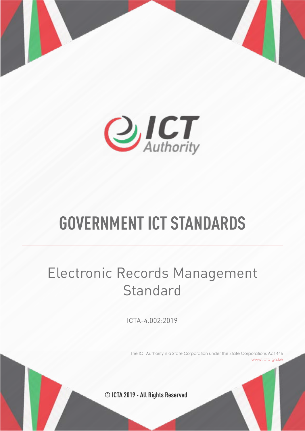



# **GOVERNMENT ICT STANDARDS**

## Electronic Records Management **Standard**

ICTA-4.002:2019

The ICT Authority is a State Corporation under the State Corporations Act 446 www.icta.go.ke

**© ICTA 2019 - All Rights Reserved**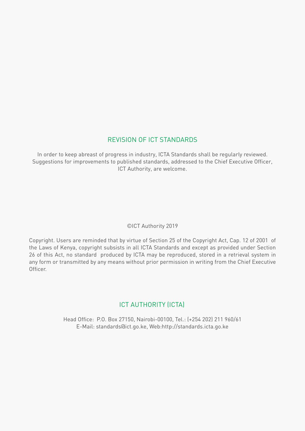## REVISION OF ICT STANDARDS

In order to keep abreast of progress in industry, ICTA Standards shall be regularly reviewed. Suggestions for improvements to published standards, addressed to the Chief Executive Officer, ICT Authority, are welcome.

## ©ICT Authority 2019

Copyright. Users are reminded that by virtue of Section 25 of the Copyright Act, Cap. 12 of 2001 of the Laws of Kenya, copyright subsists in all ICTA Standards and except as provided under Section 26 of this Act, no standard produced by ICTA may be reproduced, stored in a retrieval system in any form or transmitted by any means without prior permission in writing from the Chief Executive Officer.

## ICT AUTHORITY (ICTA)

Head Office: P.O. Box 27150, Nairobi-00100, Tel.: (+254 202) 211 960/61 E-Mail: standards@ict.go.ke, Web:http://standards.icta.go.ke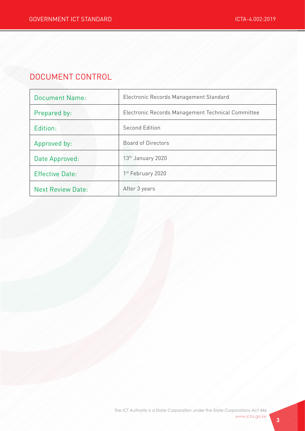## DOCUMENT CONTROL

| <b>Document Name:</b>    | Electronic Records Management Standard            |
|--------------------------|---------------------------------------------------|
| Prepared by:             | Electronic Records Management Technical Committee |
| Edition:                 | <b>Second Edition</b>                             |
| Approved by:             | Board of Directors                                |
| Date Approved:           | 13 <sup>th</sup> January 2020                     |
| <b>Effective Date:</b>   | 1 <sup>st</sup> February 2020                     |
| <b>Next Review Date:</b> | After 3 years                                     |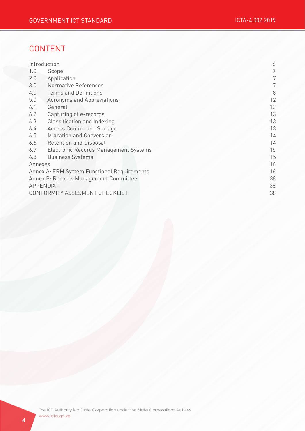## CONTENT

|                                             | Introduction                          | 6  |
|---------------------------------------------|---------------------------------------|----|
| 1.0                                         | Scope                                 | 7  |
| 2.0                                         | Application                           | 7  |
| 3.0                                         | Normative References                  | 7  |
| 4.0                                         | <b>Terms and Definitions</b>          | 8  |
| 5.0                                         | Acronyms and Abbreviations            | 12 |
| 6.1                                         | General                               | 12 |
| 6.2                                         | Capturing of e-records                | 13 |
| 6.3                                         | Classification and Indexing           | 13 |
| 6.4                                         | <b>Access Control and Storage</b>     | 13 |
| 6.5                                         | <b>Migration and Conversion</b>       | 14 |
| 6.6                                         | <b>Retention and Disposal</b>         | 14 |
| 6.7                                         | Electronic Records Management Systems | 15 |
| 6.8                                         | <b>Business Systems</b>               | 15 |
| Annexes                                     |                                       | 16 |
| Annex A: ERM System Functional Requirements |                                       | 16 |
| Annex B: Records Management Committee       |                                       | 38 |
| <b>APPENDIX I</b>                           |                                       | 38 |
| CONFORMITY ASSESMENT CHECKLIST              |                                       | 38 |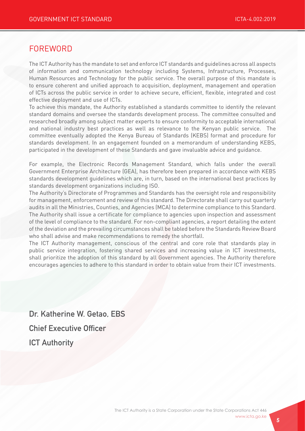## FOREWORD

The ICT Authority has the mandate to set and enforce ICT standards and guidelines across all aspects of information and communication technology including Systems, Infrastructure, Processes, Human Resources and Technology for the public service. The overall purpose of this mandate is to ensure coherent and unified approach to acquisition, deployment, management and operation of ICTs across the public service in order to achieve secure, efficient, flexible, integrated and cost effective deployment and use of ICTs.

To achieve this mandate, the Authority established a standards committee to identify the relevant standard domains and oversee the standards development process. The committee consulted and researched broadly among subject matter experts to ensure conformity to acceptable international and national industry best practices as well as relevance to the Kenyan public service. The committee eventually adopted the Kenya Bureau of Standards (KEBS) format and procedure for standards development. In an engagement founded on a memorandum of understanding KEBS, participated in the development of these Standards and gave invaluable advice and guidance.

For example, the Electronic Records Management Standard, which falls under the overall Government Enterprise Architecture (GEA), has therefore been prepared in accordance with KEBS standards development guidelines which are, in turn, based on the international best practices by standards development organizations including ISO.

The Authority's Directorate of Programmes and Standards has the oversight role and responsibility for management, enforcement and review of this standard. The Directorate shall carry out quarterly audits in all the Ministries, Counties, and Agencies (MCA) to determine compliance to this Standard. The Authority shall issue a certificate for compliance to agencies upon inspection and assessment of the level of compliance to the standard. For non-compliant agencies, a report detailing the extent of the deviation and the prevailing circumstances shall be tabled before the Standards Review Board who shall advise and make recommendations to remedy the shortfall.

The ICT Authority management, conscious of the central and core role that standards play in public service integration, fostering shared services and increasing value in ICT investments, shall prioritize the adoption of this standard by all Government agencies. The Authority therefore encourages agencies to adhere to this standard in order to obtain value from their ICT investments.

Dr. Katherine W. Getao, EBS Chief Executive Officer **ICT Authority**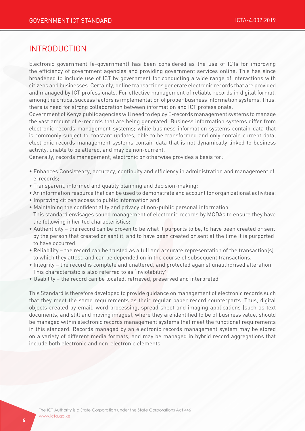## INTRODUCTION

Electronic government (e-government) has been considered as the use of ICTs for improving the efficiency of government agencies and providing government services online. This has since broadened to include use of ICT by government for conducting a wide range of interactions with citizens and businesses. Certainly, online transactions generate electronic records that are provided and managed by ICT professionals. For effective management of reliable records in digital format, among the critical success factors is implementation of proper business information systems. Thus, there is need for strong collaboration between information and ICT professionals.

Government of Kenya public agencies will need to deploy E-records management systems to manage the vast amount of e-records that are being generated. Business information systems differ from electronic records management systems; while business information systems contain data that is commonly subject to constant updates, able to be transformed and only contain current data, electronic records management systems contain data that is not dynamically linked to business activity, unable to be altered, and may be non-current.

Generally, records management; electronic or otherwise provides a basis for:

- Enhances Consistency, accuracy, continuity and efficiency in administration and management of e-records;
- Transparent, informed and quality planning and decision-making;
- An information resource that can be used to demonstrate and account for organizational activities;
- Improving citizen access to public information and
- Maintaining the confidentiality and privacy of non-public personal information This standard envisages sound management of electronic records by MCDAs to ensure they have the following inherited characteristics:
- Authenticity the record can be proven to be what it purports to be, to have been created or sent by the person that created or sent it, and to have been created or sent at the time it is purported to have occurred.
- Reliability the record can be trusted as a full and accurate representation of the transaction(s) to which they attest, and can be depended on in the course of subsequent transactions.
- Integrity the record is complete and unaltered, and protected against unauthorised alteration. This characteristic is also referred to as 'inviolability'.
- Usability the record can be located, retrieved, preserved and interpreted

This Standard is therefore developed to provide guidance on management of electronic records such that they meet the same requirements as their regular paper record counterparts. Thus, digital objects created by email, word processing, spread sheet and imaging applications (such as text documents, and still and moving images), where they are identified to be of business value, should be managed within electronic records management systems that meet the functional requirements in this standard. Records managed by an electronic records management system may be stored on a variety of different media formats, and may be managed in hybrid record aggregations that include both electronic and non-electronic elements.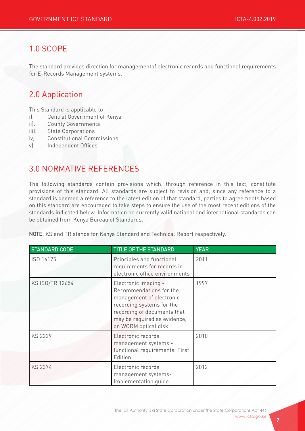## 1.0 SCOPE

The standard provides direction for managementof electronic records and functional requirements for E-Records Management systems.

## 2.0 Application

This Standard is applicable to

- i). Central Government of Kenya
- ii). County Governments
- iii). State Corporations
- iv). Constitutional Commissions
- v). Independent Offices

## 3.0 NORMATIVE REFERENCES

The following standards contain provisions which, through reference in this text, constitute provisions of this standard. All standards are subject to revision and, since any reference to a standard is deemed a reference to the latest edition of that standard, parties to agreements based on this standard are encouraged to take steps to ensure the use of the most recent editions of the standards indicated below. Information on currently valid national and international standards can be obtained from Kenya Bureau of Standards.

NOTE: KS and TR stands for Kenya Standard and Technical Report respectively.

| <b>STANDARD CODE</b> | <b>TITLE OF THE STANDARD</b>                                                                                                                                                                     | <b>YEAR</b> |
|----------------------|--------------------------------------------------------------------------------------------------------------------------------------------------------------------------------------------------|-------------|
| ISO 16175            | Principles and functional<br>requirements for records in<br>electronic office environments                                                                                                       | 2011        |
| KS ISO/TR 12654      | Electronic imaging -<br>Recommendations for the<br>management of electronic<br>recording systems for the<br>recording of documents that<br>may be required as evidence,<br>on WORM optical disk. | 1997        |
| <b>KS 2229</b>       | Electronic records<br>management systems -<br>functional requirements, First<br>Edition.                                                                                                         | 2010        |
| <b>KS 2374</b>       | Electronic records<br>management systems-<br>Implementation quide                                                                                                                                | 2012        |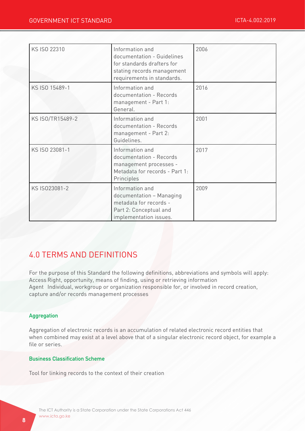| KS ISO 22310     | Information and<br>documentation - Guidelines<br>for standards drafters for<br>stating records management<br>requirements in standards. | 2006 |
|------------------|-----------------------------------------------------------------------------------------------------------------------------------------|------|
| KS ISO 15489-1   | Information and<br>documentation - Records<br>management - Part 1:<br>General.                                                          | 2016 |
| KS ISO/TR15489-2 | Information and<br>documentation - Records<br>management - Part 2:<br>Guidelines.                                                       | 2001 |
| KS ISO 23081-1   | Information and<br>documentation - Records<br>management processes -<br>Metadata for records - Part 1:<br>Principles                    | 2017 |
| KS IS023081-2    | Information and<br>documentation - Managing<br>metadata for records -<br>Part 2: Conceptual and<br>implementation issues.               | 2009 |

## 4.0 TERMS AND DEFINITIONS

For the purpose of this Standard the following definitions, abbreviations and symbols will apply: Access Right, opportunity, means of finding, using or retrieving information Agent Individual, workgroup or organization responsible for, or involved in record creation, capture and/or records management processes

#### Aggregation

Aggregation of electronic records is an accumulation of related electronic record entities that when combined may exist at a level above that of a singular electronic record object, for example a file or series.

#### Business Classification Scheme

Tool for linking records to the context of their creation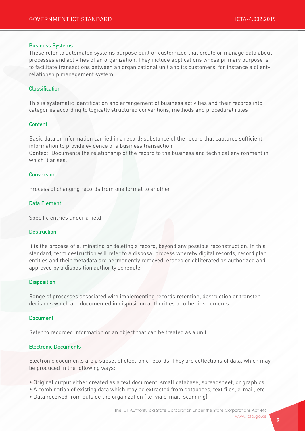#### Business Systems

These refer to automated systems purpose built or customized that create or manage data about processes and activities of an organization. They include applications whose primary purpose is to facilitate transactions between an organizational unit and its customers, for instance a clientrelationship management system.

#### **Classification**

This is systematic identification and arrangement of business activities and their records into categories according to logically structured conventions, methods and procedural rules

#### Content

Basic data or information carried in a record; substance of the record that captures sufficient information to provide evidence of a business transaction

Context: Documents the relationship of the record to the business and technical environment in which it arises.

#### **Conversion**

Process of changing records from one format to another

#### Data Element

Specific entries under a field

#### **Destruction**

It is the process of eliminating or deleting a record, beyond any possible reconstruction. In this standard, term destruction will refer to a disposal process whereby digital records, record plan entities and their metadata are permanently removed, erased or obliterated as authorized and approved by a disposition authority schedule.

#### **Disposition**

Range of processes associated with implementing records retention, destruction or transfer decisions which are documented in disposition authorities or other instruments

#### Document

Refer to recorded information or an object that can be treated as a unit.

#### Electronic Documents

Electronic documents are a subset of electronic records. They are collections of data, which may be produced in the following ways:

- Original output either created as a text document, small database, spreadsheet, or graphics
- A combination of existing data which may be extracted from databases, text files, e-mail, etc.
- Data received from outside the organization (i.e. via e-mail, scanning)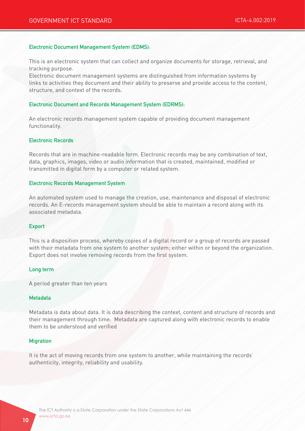#### Electronic Document Management System (EDMS):

This is an electronic system that can collect and organize documents for storage, retrieval, and tracking purpose.

Electronic document management systems are distinguished from information systems by links to activities they document and their ability to preserve and provide access to the content, structure, and context of the records.

#### Electronic Document and Records Management System (EDRMS):

An electronic records management system capable of providing document management functionality.

#### Electronic Records

Records that are in machine-readable form. Electronic records may be any combination of text, data, graphics, images, video or audio information that is created, maintained, modified or transmitted in digital form by a computer or related system.

#### Electronic Records Management System

An automated system used to manage the creation, use, maintenance and disposal of electronic records. An E-records management system should be able to maintain a record along with its associated metadata.

#### Export

This is a disposition process, whereby copies of a digital record or a group of records are passed with their metadata from one system to another system; either within or beyond the organization. Export does not involve removing records from the first system.

#### Long term

A period greater than ten years

#### Metadata

Metadata is data about data. It is data describing the context, content and structure of records and their management through time. Metadata are captured along with electronic records to enable them to be understood and verified

#### **Migration**

It is the act of moving records from one system to another, while maintaining the records' authenticity, integrity, reliability and usability.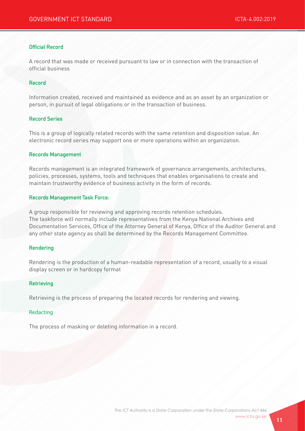#### Official Record

A record that was made or received pursuant to law or in connection with the transaction of official business

#### Record

Information created, received and maintained as evidence and as an asset by an organization or person, in pursuit of legal obligations or in the transaction of business.

#### Record Series

This is a group of logically related records with the same retention and disposition value. An electronic record series may support one or more operations within an organization.

#### Records Management

Records management is an integrated framework of governance arrangements, architectures, policies, processes, systems, tools and techniques that enables organisations to create and maintain trustworthy evidence of business activity in the form of records.

#### Records Management Task Force:

A group responsible for reviewing and approving records retention schedules. The taskforce will normally include representatives from the Kenya National Archives and Documentation Services, Office of the Attorney General of Kenya, Office of the Auditor General and any other state agency as shall be determined by the Records Management Committee.

#### Rendering

Rendering is the production of a human-readable representation of a record, usually to a visual display screen or in hardcopy format

#### **Retrieving**

Retrieving is the process of preparing the located records for rendering and viewing.

#### Redacting

The process of masking or deleting information in a record.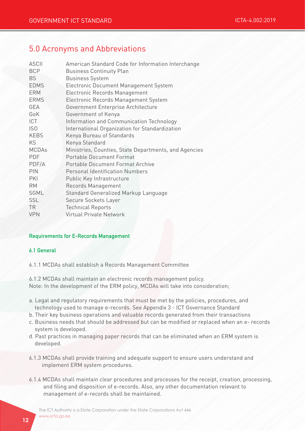## 5.0 Acronyms and Abbreviations

| <b>ASCII</b>    | American Standard Code for Information Interchange    |
|-----------------|-------------------------------------------------------|
| <b>BCP</b>      | <b>Business Continuity Plan</b>                       |
| <b>BS</b>       | <b>Business System</b>                                |
| <b>EDMS</b>     | <b>Electronic Document Management System</b>          |
| <b>ERM</b>      | Electronic Records Management                         |
| <b>ERMS</b>     | Electronic Records Management System                  |
| <b>GEA</b>      | Government Enterprise Architecture                    |
| GoK             | Government of Kenya                                   |
| <b>ICT</b>      | Information and Communication Technology              |
| IS <sub>0</sub> | International Organization for Standardization        |
| <b>KEBS</b>     | Kenya Bureau of Standards                             |
| <b>KS</b>       | Kenya Standard                                        |
| <b>MCDAs</b>    | Ministries, Counties, State Departments, and Agencies |
| <b>PDF</b>      | <b>Portable Document Format</b>                       |
| PDF/A           | Portable Document Format Archive                      |
| PIN             | <b>Personal Identification Numbers</b>                |
| PKI             | Public Key Infrastructure                             |
| <b>RM</b>       | Records Management                                    |
| <b>SGML</b>     | Standard Generalized Markup Language                  |
| <b>SSL</b>      | Secure Sockets Layer                                  |
| <b>TR</b>       | <b>Technical Reports</b>                              |
| <b>VPN</b>      | <b>Virtual Private Network</b>                        |

#### Requirements for E-Records Management

#### 6.1 General

6.1.1 MCDAs shall establish a Records Management Committee

6.1.2 MCDAs shall maintain an electronic records management policy. Note: In the development of the ERM policy, MCDAs will take into consideration;

- a. Legal and regulatory requirements that must be met by the policies, procedures, and technology used to manage e-records. See Appendix 3 - ICT Governance Standard
- b. Their key business operations and valuable records generated from their transactions
- c. Business needs that should be addressed but can be modified or replaced when an e- records system is developed.
- d. Past practices in managing paper records that can be eliminated when an ERM system is developed.
- 6.1.3 MCDAs shall provide training and adequate support to ensure users understand and implement ERM system procedures.
- 6.1.4 MCDAs shall maintain clear procedures and processes for the receipt, creation, processing, and filing and disposition of e-records. Also, any other documentation relevant to management of e-records shall be maintained.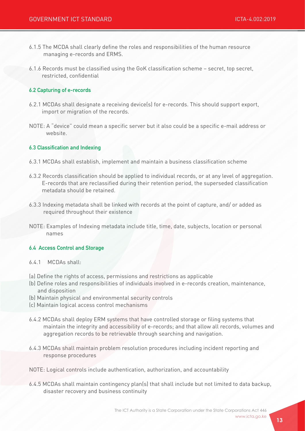- 6.1.5 The MCDA shall clearly define the roles and responsibilities of the human resource managing e-records and ERMS.
- 6.1.6 Records must be classified using the GoK classification scheme secret, top secret, restricted, confidential

#### 6.2 Capturing of e-records

- 6.2.1 MCDAs shall designate a receiving device(s) for e-records. This should support export, import or migration of the records.
- NOTE: A "device" could mean a specific server but it also could be a specific e-mail address or website.

#### 6.3 Classification and Indexing

- 6.3.1 MCDAs shall establish, implement and maintain a business classification scheme
- 6.3.2 Records classification should be applied to individual records, or at any level of aggregation. E-records that are reclassified during their retention period, the superseded classification metadata should be retained.
- 6.3.3 Indexing metadata shall be linked with records at the point of capture, and/ or added as required throughout their existence
- NOTE: Examples of Indexing metadata include title, time, date, subjects, location or personal names

#### 6.4 Access Control and Storage

- 6.4.1 MCDAs shall:
- (a) Define the rights of access, permissions and restrictions as applicable
- (b) Define roles and responsibilities of individuals involved in e-records creation, maintenance, and disposition
- (b) Maintain physical and environmental security controls
- (c) Maintain logical access control mechanisms
- 6.4.2 MCDAs shall deploy ERM systems that have controlled storage or filing systems that maintain the integrity and accessibility of e-records; and that allow all records, volumes and aggregation records to be retrievable through searching and navigation.
- 6.4.3 MCDAs shall maintain problem resolution procedures including incident reporting and response procedures
- NOTE: Logical controls include authentication, authorization, and accountability
- 6.4.5 MCDAs shall maintain contingency plan(s) that shall include but not limited to data backup, disaster recovery and business continuity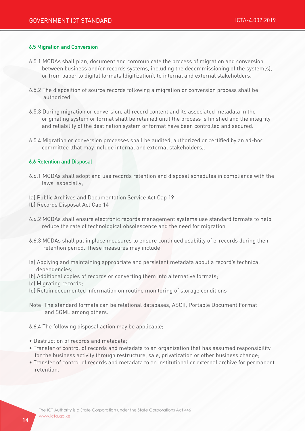#### 6.5 Migration and Conversion

- 6.5.1 MCDAs shall plan, document and communicate the process of migration and conversion between business and/or records systems, including the decommissioning of the system(s), or from paper to digital formats (digitization), to internal and external stakeholders.
- 6.5.2 The disposition of source records following a migration or conversion process shall be authorized.
- 6.5.3 During migration or conversion, all record content and its associated metadata in the originating system or format shall be retained until the process is finished and the integrity and reliability of the destination system or format have been controlled and secured.
- 6.5.4 Migration or conversion processes shall be audited, authorized or certified by an ad-hoc committee (that may include internal and external stakeholders).

#### 6.6 Retention and Disposal

- 6.6.1 MCDAs shall adopt and use records retention and disposal schedules in compliance with the laws especially;
- (a) Public Archives and Documentation Service Act Cap 19
- (b) Records Disposal Act Cap 14
- 6.6.2 MCDAs shall ensure electronic records management systems use standard formats to help reduce the rate of technological obsolescence and the need for migration
- 6.6.3 MCDAs shall put in place measures to ensure continued usability of e-records during their retention period. These measures may include:
- (a) Applying and maintaining appropriate and persistent metadata about a record's technical dependencies;
- (b) Additional copies of records or converting them into alternative formats;
- (c) Migrating records;
- (d) Retain documented information on routine monitoring of storage conditions
- Note: The standard formats can be relational databases, ASCII, Portable Document Format and SGML among others.
- 6.6.4 The following disposal action may be applicable;
- Destruction of records and metadata;
- Transfer of control of records and metadata to an organization that has assumed responsibility for the business activity through restructure, sale, privatization or other business change;
- Transfer of control of records and metadata to an institutional or external archive for permanent retention.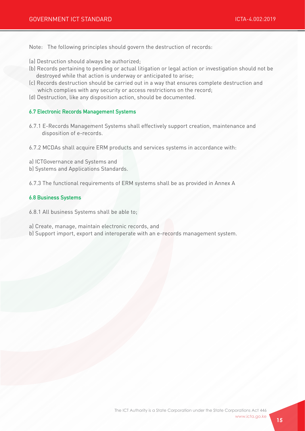Note: The following principles should govern the destruction of records:

- (a) Destruction should always be authorized;
- (b) Records pertaining to pending or actual litigation or legal action or investigation should not be destroyed while that action is underway or anticipated to arise;
- (c) Records destruction should be carried out in a way that ensures complete destruction and which complies with any security or access restrictions on the record;
- (d) Destruction, like any disposition action, should be documented.

#### 6.7 Electronic Records Management Systems

- 6.7.1 E-Records Management Systems shall effectively support creation, maintenance and disposition of e-records.
- 6.7.2 MCDAs shall acquire ERM products and services systems in accordance with:
- a) ICTGovernance and Systems and
- b) Systems and Applications Standards.
- 6.7.3 The functional requirements of ERM systems shall be as provided in Annex A

#### 6.8 Business Systems

- 6.8.1 All business Systems shall be able to;
- a) Create, manage, maintain electronic records, and
- b) Support import, export and interoperate with an e-records management system.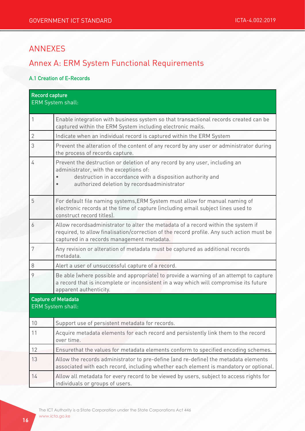## ANNEXES

## Annex A: ERM System Functional Requirements

#### A.1 Creation of E-Records

| <b>Record capture</b><br>ERM System shall:      |                                                                                                                                                                                                                                    |  |
|-------------------------------------------------|------------------------------------------------------------------------------------------------------------------------------------------------------------------------------------------------------------------------------------|--|
| $\mathbf{1}$                                    | Enable integration with business system so that transactional records created can be<br>captured within the ERM System including electronic mails.                                                                                 |  |
| $\mathbf{2}$                                    | Indicate when an individual record is captured within the ERM System                                                                                                                                                               |  |
| 3                                               | Prevent the alteration of the content of any record by any user or administrator during<br>the process of records capture.                                                                                                         |  |
| $\overline{4}$                                  | Prevent the destruction or deletion of any record by any user, including an<br>administrator, with the exceptions of:<br>destruction in accordance with a disposition authority and<br>authorized deletion by recordsadministrator |  |
| 5                                               | For default file naming systems, ERM System must allow for manual naming of<br>electronic records at the time of capture (including email subject lines used to<br>construct record titles).                                       |  |
| 6                                               | Allow recordsadministrator to alter the metadata of a record within the system if<br>required, to allow finalisation/correction of the record profile. Any such action must be<br>captured in a records management metadata.       |  |
| $\boldsymbol{7}$                                | Any revision or alteration of metadata must be captured as additional records<br>metadata.                                                                                                                                         |  |
| 8                                               | Alert a user of unsuccessful capture of a record.                                                                                                                                                                                  |  |
| 9                                               | Be able (where possible and appropriate) to provide a warning of an attempt to capture<br>a record that is incomplete or inconsistent in a way which will compromise its future<br>apparent authenticity.                          |  |
| <b>Capture of Metadata</b><br>ERM System shall: |                                                                                                                                                                                                                                    |  |
| 10                                              | Support use of persistent metadata for records.                                                                                                                                                                                    |  |
| 11                                              | Acquire metadata elements for each record and persistently link them to the record<br>over time.                                                                                                                                   |  |
| 12                                              | Ensurethat the values for metadata elements conform to specified encoding schemes.                                                                                                                                                 |  |
| 13                                              | Allow the records administrator to pre-define (and re-define) the metadata elements<br>associated with each record, including whether each element is mandatory or optional.                                                       |  |
| 14                                              | Allow all metadata for every record to be viewed by users, subject to access rights for<br>individuals or groups of users.                                                                                                         |  |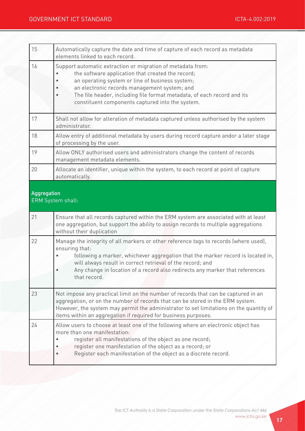| 15          | Automatically capture the date and time of capture of each record as metadata<br>elements linked to each record.                                                                                                                                                                                                                                   |
|-------------|----------------------------------------------------------------------------------------------------------------------------------------------------------------------------------------------------------------------------------------------------------------------------------------------------------------------------------------------------|
| 16          | Support automatic extraction or migration of metadata from:<br>the software application that created the record;<br>an operating system or line of business system;<br>an electronic records management system; and<br>The file header, including file format metadata, of each record and its<br>constituent components captured into the system. |
| 17          | Shall not allow for alteration of metadata captured unless authorised by the system<br>administrator.                                                                                                                                                                                                                                              |
| 18          | Allow entry of additional metadata by users during record capture andor a later stage<br>of processing by the user.                                                                                                                                                                                                                                |
| 19          | Allow ONLY authorised users and administrators change the content of records<br>management metadata elements.                                                                                                                                                                                                                                      |
| 20          | Allocate an identifier, unique within the system, to each record at point of capture<br>automatically.                                                                                                                                                                                                                                             |
| Aggregation | ERM System shall:                                                                                                                                                                                                                                                                                                                                  |
| 21          | Ensure that all records captured within the ERM system are associated with at least<br>one aggregation, but support the ability to assign records to multiple aggregations<br>without their duplication                                                                                                                                            |
| 22          | Manage the integrity of all markers or other reference tags to records (where used),<br>ensuring that:<br>following a marker, whichever aggregation that the marker record is located in,                                                                                                                                                          |
|             | will always result in correct retrieval of the record; and<br>Any change in location of a record also redirects any marker that references<br>that record.                                                                                                                                                                                         |
| 23          | Not impose any practical limit on the number of records that can be captured in an<br>aggregation, or on the number of records that can be stored in the ERM system.<br>However, the system may permit the administrator to set limitations on the quantity of<br>items within an aggregation if required for business purposes.                   |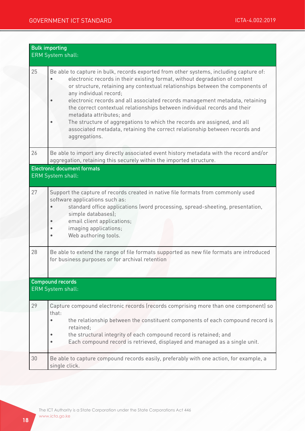| <b>Bulk importing</b><br>ERM System shall:   |                                                                                                                                                                                                                                                                                                                                                                                                                                                                                                                                                                                                                                                        |  |
|----------------------------------------------|--------------------------------------------------------------------------------------------------------------------------------------------------------------------------------------------------------------------------------------------------------------------------------------------------------------------------------------------------------------------------------------------------------------------------------------------------------------------------------------------------------------------------------------------------------------------------------------------------------------------------------------------------------|--|
| 25                                           | Be able to capture in bulk, records exported from other systems, including capture of:<br>electronic records in their existing format, without degradation of content<br>or structure, retaining any contextual relationships between the components of<br>any individual record;<br>electronic records and all associated records management metadata, retaining<br>the correct contextual relationships between individual records and their<br>metadata attributes; and<br>The structure of aggregations to which the records are assigned, and all<br>associated metadata, retaining the correct relationship between records and<br>aggregations. |  |
| 26                                           | Be able to import any directly associated event history metadata with the record and/or<br>aggregation, retaining this securely within the imported structure.                                                                                                                                                                                                                                                                                                                                                                                                                                                                                         |  |
|                                              | <b>Electronic document formats</b><br><b>ERM System shall:</b>                                                                                                                                                                                                                                                                                                                                                                                                                                                                                                                                                                                         |  |
| 27                                           | Support the capture of records created in native file formats from commonly used<br>software applications such as:<br>standard office applications (word processing, spread-sheeting, presentation,<br>simple databases);<br>email client applications;<br>imaging applications;<br>Web authoring tools.                                                                                                                                                                                                                                                                                                                                               |  |
| 28                                           | Be able to extend the range of file formats supported as new file formats are introduced<br>for business purposes or for archival retention                                                                                                                                                                                                                                                                                                                                                                                                                                                                                                            |  |
| <b>Compound records</b><br>ERM System shall: |                                                                                                                                                                                                                                                                                                                                                                                                                                                                                                                                                                                                                                                        |  |
| 29                                           | Capture compound electronic records (records comprising more than one component) so<br>that:<br>the relationship between the constituent components of each compound record is<br>retained;<br>the structural integrity of each compound record is retained; and<br>Each compound record is retrieved, displayed and managed as a single unit.                                                                                                                                                                                                                                                                                                         |  |
| 30                                           | Be able to capture compound records easily, preferably with one action, for example, a<br>single click.                                                                                                                                                                                                                                                                                                                                                                                                                                                                                                                                                |  |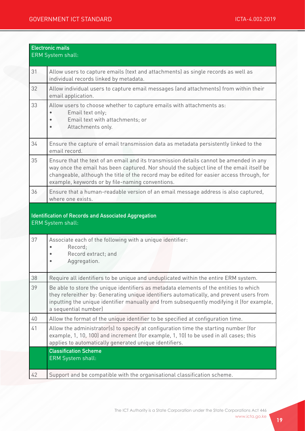| <b>Electronic mails</b><br><b>ERM System shall:</b> |                                                                                                                                                                                                                                                                                                                                     |  |
|-----------------------------------------------------|-------------------------------------------------------------------------------------------------------------------------------------------------------------------------------------------------------------------------------------------------------------------------------------------------------------------------------------|--|
| 31                                                  | Allow users to capture emails (text and attachments) as single records as well as<br>individual records linked by metadata.                                                                                                                                                                                                         |  |
| 32                                                  | Allow individual users to capture email messages (and attachments) from within their<br>email application.                                                                                                                                                                                                                          |  |
| 33                                                  | Allow users to choose whether to capture emails with attachments as:<br>Email text only;<br>Email text with attachments; or<br>Attachments only.                                                                                                                                                                                    |  |
| 34                                                  | Ensure the capture of email transmission data as metadata persistently linked to the<br>email record.                                                                                                                                                                                                                               |  |
| 35                                                  | Ensure that the text of an email and its transmission details cannot be amended in any<br>way once the email has been captured. Nor should the subject line of the email itself be<br>changeable, although the title of the record may be edited for easier access through, for<br>example, keywords or by file-naming conventions. |  |
| 36                                                  | Ensure that a human-readable version of an email message address is also captured,<br>where one exists.                                                                                                                                                                                                                             |  |
|                                                     | <b>Identification of Records and Associated Aggregation</b><br>ERM System shall:                                                                                                                                                                                                                                                    |  |
| 37                                                  | Associate each of the following with a unique identifier:<br>Record;<br>Record extract; and<br>Aggregation.                                                                                                                                                                                                                         |  |
| 38                                                  | Require all identifiers to be unique and unduplicated within the entire ERM system.                                                                                                                                                                                                                                                 |  |
| 39                                                  | Be able to store the unique identifiers as metadata elements of the entities to which<br>they refereither by: Generating unique identifiers automatically, and prevent users from<br>inputting the unique identifier manually and from subsequently modifying it (for example,<br>a sequential number)                              |  |
| 40                                                  | Allow the format of the unique identifier to be specified at configuration time.                                                                                                                                                                                                                                                    |  |
| 41                                                  | Allow the administrator(s) to specify at configuration time the starting number (for<br>example, 1, 10, 100) and increment (for example, 1, 10) to be used in all cases; this<br>applies to automatically generated unique identifiers.<br><b>Classification Scheme</b>                                                             |  |
|                                                     | <b>ERM System shall:</b>                                                                                                                                                                                                                                                                                                            |  |
| 42                                                  | Support and be compatible with the organisational classification scheme.                                                                                                                                                                                                                                                            |  |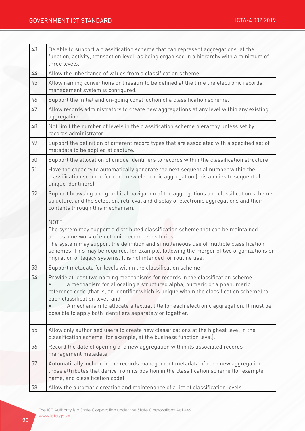| 43 | Be able to support a classification scheme that can represent aggregations (at the<br>function, activity, transaction level) as being organised in a hierarchy with a minimum of<br>three levels.                                                                                                                                                                                                                                                |
|----|--------------------------------------------------------------------------------------------------------------------------------------------------------------------------------------------------------------------------------------------------------------------------------------------------------------------------------------------------------------------------------------------------------------------------------------------------|
| 44 | Allow the inheritance of values from a classification scheme.                                                                                                                                                                                                                                                                                                                                                                                    |
| 45 | Allow naming conventions or thesauri to be defined at the time the electronic records<br>management system is configured.                                                                                                                                                                                                                                                                                                                        |
| 46 | Support the initial and on-going construction of a classification scheme.                                                                                                                                                                                                                                                                                                                                                                        |
| 47 | Allow records administrators to create new aggregations at any level within any existing<br>aggregation.                                                                                                                                                                                                                                                                                                                                         |
| 48 | Not limit the number of levels in the classification scheme hierarchy unless set by<br>records administrator.                                                                                                                                                                                                                                                                                                                                    |
| 49 | Support the definition of different record types that are associated with a specified set of<br>metadata to be applied at capture.                                                                                                                                                                                                                                                                                                               |
| 50 | Support the allocation of unique identifiers to records within the classification structure                                                                                                                                                                                                                                                                                                                                                      |
| 51 | Have the capacity to automatically generate the next sequential number within the<br>classification scheme for each new electronic aggregation (this applies to sequential<br>unique identifiers)                                                                                                                                                                                                                                                |
| 52 | Support browsing and graphical navigation of the aggregations and classification scheme<br>structure, and the selection, retrieval and display of electronic aggregations and their<br>contents through this mechanism.                                                                                                                                                                                                                          |
|    | NOTE:<br>The system may support a distributed classification scheme that can be maintained<br>across a network of electronic record repositories.<br>The system may support the definition and simultaneous use of multiple classification<br>schemes. This may be required, for example, following the merger of two organizations or<br>migration of legacy systems. It is not intended for routine use.                                       |
| 53 | Support metadata for levels within the classification scheme.                                                                                                                                                                                                                                                                                                                                                                                    |
| 54 | Provide at least two naming mechanisms for records in the classification scheme:<br>a mechanism for allocating a structured alpha, numeric or alphanumeric<br>reference code (that is, an identifier which is unique within the classification scheme) to<br>each classification level; and<br>A mechanism to allocate a textual title for each electronic aggregation. It must be<br>possible to apply both identifiers separately or together. |
| 55 | Allow only authorised users to create new classifications at the highest level in the<br>classification scheme (for example, at the business function level).                                                                                                                                                                                                                                                                                    |
| 56 | Record the date of opening of a new aggregation within its associated records<br>management metadata.                                                                                                                                                                                                                                                                                                                                            |
| 57 | Automatically include in the records management metadata of each new aggregation<br>those attributes that derive from its position in the classification scheme (for example,<br>name, and classification code).                                                                                                                                                                                                                                 |
| 58 | Allow the automatic creation and maintenance of a list of classification levels.                                                                                                                                                                                                                                                                                                                                                                 |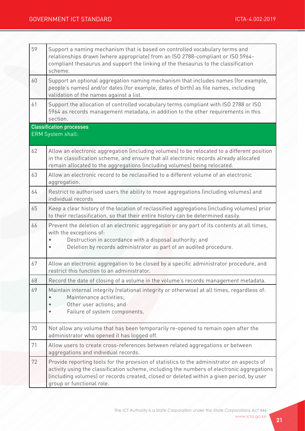| 59 | Support a naming mechanism that is based on controlled vocabulary terms and<br>relationships drawn (where appropriate) from an ISO 2788-compliant or ISO 5964-<br>compliant thesaurus and support the linking of the thesaurus to the classification<br>scheme.                                                   |
|----|-------------------------------------------------------------------------------------------------------------------------------------------------------------------------------------------------------------------------------------------------------------------------------------------------------------------|
| 60 | Support an optional aggregation naming mechanism that includes names (for example,<br>people's names) and/or dates (for example, dates of birth) as file names, including<br>validation of the names against a list.                                                                                              |
| 61 | Support the allocation of controlled vocabulary terms compliant with ISO 2788 or ISO<br>5964 as records management metadata, in addition to the other requirements in this<br>section.                                                                                                                            |
|    | <b>Classification processes</b>                                                                                                                                                                                                                                                                                   |
|    | ERM System shall:                                                                                                                                                                                                                                                                                                 |
| 62 | Allow an electronic aggregation (including volumes) to be relocated to a different position<br>in the classification scheme, and ensure that all electronic records already allocated<br>remain allocated to the aggregations (including volumes) being relocated.                                                |
| 63 | Allow an electronic record to be reclassified to a different volume of an electronic<br>aggregation.                                                                                                                                                                                                              |
| 64 | Restrict to authorised users the ability to move aggregations (including volumes) and<br>individual records                                                                                                                                                                                                       |
| 65 | Keep a clear history of the location of reclassified aggregations (including volumes) prior<br>to their reclassification, so that their entire history can be determined easily.                                                                                                                                  |
| 66 | Prevent the deletion of an electronic aggregation or any part of its contents at all times,<br>with the exceptions of:<br>Destruction in accordance with a disposal authority; and<br>Deletion by records administrator as part of an audited procedure.                                                          |
| 67 | Allow an electronic aggregation to be closed by a specific administrator procedure, and<br>restrict this function to an administrator.                                                                                                                                                                            |
| 68 | Record the date of closing of a volume in the volume's records management metadata.                                                                                                                                                                                                                               |
| 69 | Maintain internal integrity (relational integrity or otherwise) at all times, regardless of:<br>Maintenance activities;<br>Other user actions; and<br>Failure of system components.                                                                                                                               |
| 70 | Not allow any volume that has been temporarily re-opened to remain open after the<br>administrator who opened it has logged off.                                                                                                                                                                                  |
| 71 | Allow users to create cross-references between related aggregations or between<br>aggregations and individual records.                                                                                                                                                                                            |
| 72 | Provide reporting tools for the provision of statistics to the administrator on aspects of<br>activity using the classification scheme, including the numbers of electronic aggregations<br>(including volumes) or records created, closed or deleted within a given period, by user<br>group or functional role. |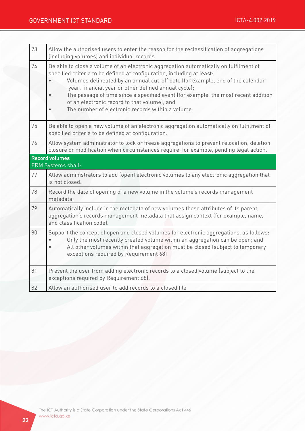| 73 | Allow the authorised users to enter the reason for the reclassification of aggregations<br>(including volumes) and individual records.                                                                                                                                                                                                                                                                                                                                                              |  |  |
|----|-----------------------------------------------------------------------------------------------------------------------------------------------------------------------------------------------------------------------------------------------------------------------------------------------------------------------------------------------------------------------------------------------------------------------------------------------------------------------------------------------------|--|--|
| 74 | Be able to close a volume of an electronic aggregation automatically on fulfilment of<br>specified criteria to be defined at configuration, including at least:<br>Volumes delineated by an annual cut-off date (for example, end of the calendar<br>year, financial year or other defined annual cycle);<br>The passage of time since a specified event (for example, the most recent addition<br>of an electronic record to that volume); and<br>The number of electronic records within a volume |  |  |
| 75 | Be able to open a new volume of an electronic aggregation automatically on fulfilment of<br>specified criteria to be defined at configuration.                                                                                                                                                                                                                                                                                                                                                      |  |  |
| 76 | Allow system administrator to lock or freeze aggregations to prevent relocation, deletion,<br>closure or modification when circumstances require, for example, pending legal action.                                                                                                                                                                                                                                                                                                                |  |  |
|    | Record volumes<br><b>ERM Systems shall:</b>                                                                                                                                                                                                                                                                                                                                                                                                                                                         |  |  |
| 77 | Allow administrators to add (open) electronic volumes to any electronic aggregation that<br>is not closed.                                                                                                                                                                                                                                                                                                                                                                                          |  |  |
| 78 | Record the date of opening of a new volume in the volume's records management<br>metadata.                                                                                                                                                                                                                                                                                                                                                                                                          |  |  |
| 79 | Automatically include in the metadata of new volumes those attributes of its parent<br>aggregation's records management metadata that assign context (for example, name,<br>and classification code).                                                                                                                                                                                                                                                                                               |  |  |
| 80 | Support the concept of open and closed volumes for electronic aggregations, as follows:<br>Only the most recently created volume within an aggregation can be open; and<br>All other volumes within that aggregation must be closed (subject to temporary<br>exceptions required by Requirement 68)                                                                                                                                                                                                 |  |  |
| 81 | Prevent the user from adding electronic records to a closed volume (subject to the<br>exceptions required by Requirement 68).                                                                                                                                                                                                                                                                                                                                                                       |  |  |
| 82 | Allow an authorised user to add records to a closed file                                                                                                                                                                                                                                                                                                                                                                                                                                            |  |  |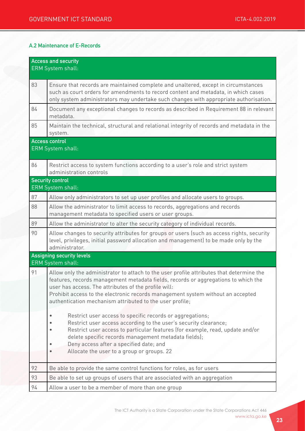#### A.2 Maintenance of E-Records

| <b>Access and security</b><br><b>ERM System shall:</b> |                                                                                                                                                                                                                                                                                                                                                                                       |
|--------------------------------------------------------|---------------------------------------------------------------------------------------------------------------------------------------------------------------------------------------------------------------------------------------------------------------------------------------------------------------------------------------------------------------------------------------|
| 83                                                     | Ensure that records are maintained complete and unaltered, except in circumstances<br>such as court orders for amendments to record content and metadata, in which cases<br>only system administrators may undertake such changes with appropriate authorisation.                                                                                                                     |
| 84                                                     | Document any exceptional changes to records as described in Requirement 88 in relevant<br>metadata.                                                                                                                                                                                                                                                                                   |
| 85                                                     | Maintain the technical, structural and relational integrity of records and metadata in the<br>system.                                                                                                                                                                                                                                                                                 |
|                                                        | <b>Access control</b><br><b>ERM System shall:</b>                                                                                                                                                                                                                                                                                                                                     |
| 86                                                     | Restrict access to system functions according to a user's role and strict system<br>administration controls                                                                                                                                                                                                                                                                           |
|                                                        | <b>Security control</b><br><b>ERM System shall:</b>                                                                                                                                                                                                                                                                                                                                   |
| 87                                                     | Allow only administrators to set up user profiles and allocate users to groups.                                                                                                                                                                                                                                                                                                       |
| 88                                                     | Allow the administrator to limit access to records, aggregations and records<br>management metadata to specified users or user groups.                                                                                                                                                                                                                                                |
| 89                                                     | Allow the administrator to alter the security category of individual records.                                                                                                                                                                                                                                                                                                         |
| 90                                                     | Allow changes to security attributes for groups or users (such as access rights, security<br>level, privileges, initial password allocation and management) to be made only by the<br>administrator.                                                                                                                                                                                  |
|                                                        | <b>Assigning security levels</b><br><b>ERM System shall:</b>                                                                                                                                                                                                                                                                                                                          |
| 91                                                     | Allow only the administrator to attach to the user profile attributes that determine the<br>features, records management metadata fields, records or aggregations to which the<br>user has access. The attributes of the profile will:<br>Prohibit access to the electronic records management system without an accepted<br>authentication mechanism attributed to the user profile; |
|                                                        | Restrict user access to specific records or aggregations;<br>Restrict user access according to the user's security clearance;<br>Restrict user access to particular features (for example, read, update and/or<br>delete specific records management metadata fields);<br>Deny access after a specified date; and<br>Allocate the user to a group or groups. 22                       |
| 92                                                     | Be able to provide the same control functions for roles, as for users                                                                                                                                                                                                                                                                                                                 |
| 93                                                     | Be able to set up groups of users that are associated with an aggregation                                                                                                                                                                                                                                                                                                             |
| 94                                                     | Allow a user to be a member of more than one group                                                                                                                                                                                                                                                                                                                                    |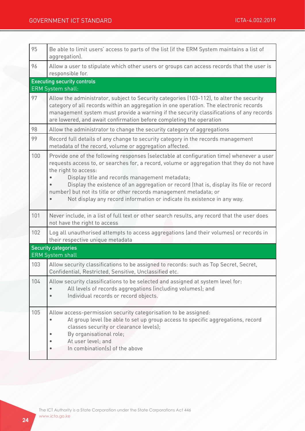## GOVERNMENT ICT STANDARD **ICTA-4.002:2019**

| 95  | Be able to limit users' access to parts of the list (if the ERM System maintains a list of<br>aggregation).                                                                                                                                                                                                                                                                                                                                                                                                   |
|-----|---------------------------------------------------------------------------------------------------------------------------------------------------------------------------------------------------------------------------------------------------------------------------------------------------------------------------------------------------------------------------------------------------------------------------------------------------------------------------------------------------------------|
| 96  | Allow a user to stipulate which other users or groups can access records that the user is<br>responsible for.                                                                                                                                                                                                                                                                                                                                                                                                 |
|     | <b>Executing security controls</b>                                                                                                                                                                                                                                                                                                                                                                                                                                                                            |
| 97  | <b>ERM System shall:</b><br>Allow the administrator, subject to Security categories (103-112), to alter the security                                                                                                                                                                                                                                                                                                                                                                                          |
|     | category of all records within an aggregation in one operation. The electronic records<br>management system must provide a warning if the security classifications of any records<br>are lowered, and await confirmation before completing the operation                                                                                                                                                                                                                                                      |
| 98  | Allow the administrator to change the security category of aggregations                                                                                                                                                                                                                                                                                                                                                                                                                                       |
| 99  | Record full details of any change to security category in the records management<br>metadata of the record, volume or aggregation affected.                                                                                                                                                                                                                                                                                                                                                                   |
| 100 | Provide one of the following responses (selectable at configuration time) whenever a user<br>requests access to, or searches for, a record, volume or aggregation that they do not have<br>the right to access:<br>Display title and records management metadata;<br>Display the existence of an aggregation or record (that is, display its file or record<br>number) but not its title or other records management metadata; or<br>Not display any record information or indicate its existence in any way. |
| 101 | Never include, in a list of full text or other search results, any record that the user does<br>not have the right to access                                                                                                                                                                                                                                                                                                                                                                                  |
| 102 | Log all unauthorised attempts to access aggregations (and their volumes) or records in<br>their respective unique metadata                                                                                                                                                                                                                                                                                                                                                                                    |
|     | <b>Security categories</b><br><b>ERM System shall</b>                                                                                                                                                                                                                                                                                                                                                                                                                                                         |
| 103 | Allow security classifications to be assigned to records: such as Top Secret, Secret,<br>Confidential, Restricted, Sensitive, Unclassified etc.                                                                                                                                                                                                                                                                                                                                                               |
| 104 | Allow security classifications to be selected and assigned at system level for:<br>All levels of records aggregations (including volumes); and<br>Individual records or record objects.                                                                                                                                                                                                                                                                                                                       |
| 105 | Allow access-permission security categorisation to be assigned:<br>At group level (be able to set up group access to specific aggregations, record<br>classes security or clearance levels);<br>By organisational role;<br>At user level; and<br>In combination(s) of the above                                                                                                                                                                                                                               |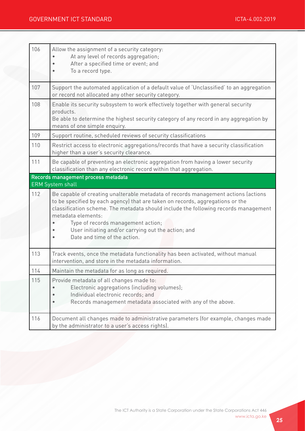| 106 | Allow the assignment of a security category:<br>At any level of records aggregation;<br>After a specified time or event; and<br>To a record type.                                                                                                                                                                                                                                                              |
|-----|----------------------------------------------------------------------------------------------------------------------------------------------------------------------------------------------------------------------------------------------------------------------------------------------------------------------------------------------------------------------------------------------------------------|
| 107 | Support the automated application of a default value of 'Unclassified' to an aggregation<br>or record not allocated any other security category.                                                                                                                                                                                                                                                               |
| 108 | Enable its security subsystem to work effectively together with general security<br>products.<br>Be able to determine the highest security category of any record in any aggregation by<br>means of one simple enquiry.                                                                                                                                                                                        |
| 109 | Support routine, scheduled reviews of security classifications                                                                                                                                                                                                                                                                                                                                                 |
| 110 | Restrict access to electronic aggregations/records that have a security classification<br>higher than a user's security clearance.                                                                                                                                                                                                                                                                             |
| 111 | Be capable of preventing an electronic aggregation from having a lower security<br>classification than any electronic record within that aggregation.                                                                                                                                                                                                                                                          |
|     | Records management process metadata<br><b>ERM System shall</b>                                                                                                                                                                                                                                                                                                                                                 |
| 112 | Be capable of creating unalterable metadata of records management actions (actions<br>to be specified by each agency) that are taken on records, aggregations or the<br>classification scheme. The metadata should include the following records management<br>metadata elements:<br>Type of records management action;<br>User initiating and/or carrying out the action; and<br>Date and time of the action. |
| 113 | Track events, once the metadata functionality has been activated, without manual<br>intervention, and store in the metadata information.                                                                                                                                                                                                                                                                       |
| 114 | Maintain the metadata for as long as required.                                                                                                                                                                                                                                                                                                                                                                 |
| 115 | Provide metadata of all changes made to:<br>Electronic aggregations (including volumes);<br>Individual electronic records; and<br>Records management metadata associated with any of the above.                                                                                                                                                                                                                |
| 116 | Document all changes made to administrative parameters (for example, changes made<br>by the administrator to a user's access rights).                                                                                                                                                                                                                                                                          |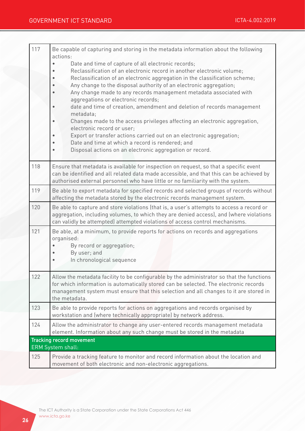| 117 | Be capable of capturing and storing in the metadata information about the following<br>actions:                                                                                                                                                                                                                                                                                                                                                                                                                                                                                                                                                                                                                                                                                             |
|-----|---------------------------------------------------------------------------------------------------------------------------------------------------------------------------------------------------------------------------------------------------------------------------------------------------------------------------------------------------------------------------------------------------------------------------------------------------------------------------------------------------------------------------------------------------------------------------------------------------------------------------------------------------------------------------------------------------------------------------------------------------------------------------------------------|
|     | Date and time of capture of all electronic records;<br>Reclassification of an electronic record in another electronic volume;<br>Reclassification of an electronic aggregation in the classification scheme;<br>Any change to the disposal authority of an electronic aggregation;<br>Any change made to any records management metadata associated with<br>aggregations or electronic records;<br>date and time of creation, amendment and deletion of records management<br>metadata;<br>Changes made to the access privileges affecting an electronic aggregation,<br>electronic record or user;<br>Export or transfer actions carried out on an electronic aggregation;<br>Date and time at which a record is rendered; and<br>Disposal actions on an electronic aggregation or record. |
| 118 | Ensure that metadata is available for inspection on request, so that a specific event<br>can be identified and all related data made accessible, and that this can be achieved by<br>authorised external personnel who have little or no familiarity with the system.                                                                                                                                                                                                                                                                                                                                                                                                                                                                                                                       |
| 119 | Be able to export metadata for specified records and selected groups of records without<br>affecting the metadata stored by the electronic records management system.                                                                                                                                                                                                                                                                                                                                                                                                                                                                                                                                                                                                                       |
| 120 | Be able to capture and store violations (that is, a user's attempts to access a record or<br>aggregation, including volumes, to which they are denied access), and (where violations<br>can validly be attempted) attempted violations of access control mechanisms.                                                                                                                                                                                                                                                                                                                                                                                                                                                                                                                        |
| 121 | Be able, at a minimum, to provide reports for actions on records and aggregations<br>organised:<br>By record or aggregation;<br>By user; and<br>In chronological sequence                                                                                                                                                                                                                                                                                                                                                                                                                                                                                                                                                                                                                   |
| 122 | Allow the metadata facility to be configurable by the administrator so that the functions<br>for which information is automatically stored can be selected. The electronic records<br>management system must ensure that this selection and all changes to it are stored in<br>the metadata.                                                                                                                                                                                                                                                                                                                                                                                                                                                                                                |
| 123 | Be able to provide reports for actions on aggregations and records organised by<br>workstation and (where technically appropriate) by network address.                                                                                                                                                                                                                                                                                                                                                                                                                                                                                                                                                                                                                                      |
| 124 | Allow the administrator to change any user-entered records management metadata<br>element. Information about any such change must be stored in the metadata                                                                                                                                                                                                                                                                                                                                                                                                                                                                                                                                                                                                                                 |
|     | <b>Tracking record movement</b><br><b>ERM System shall:</b>                                                                                                                                                                                                                                                                                                                                                                                                                                                                                                                                                                                                                                                                                                                                 |
| 125 | Provide a tracking feature to monitor and record information about the location and<br>movement of both electronic and non-electronic aggregations.                                                                                                                                                                                                                                                                                                                                                                                                                                                                                                                                                                                                                                         |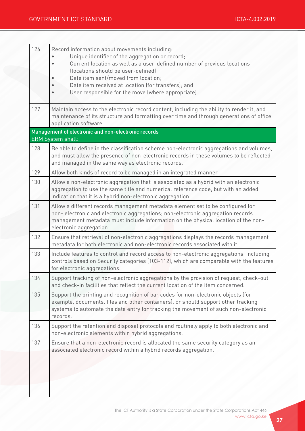| 126 | Record information about movements including:<br>Unique identifier of the aggregation or record;<br>Current location as well as a user-defined number of previous locations<br>(locations should be user-defined);<br>Date item sent/moved from location;<br>Date item received at location (for transfers); and<br>User responsible for the move (where appropriate). |
|-----|------------------------------------------------------------------------------------------------------------------------------------------------------------------------------------------------------------------------------------------------------------------------------------------------------------------------------------------------------------------------|
| 127 | Maintain access to the electronic record content, including the ability to render it, and<br>maintenance of its structure and formatting over time and through generations of office<br>application software.                                                                                                                                                          |
|     | Management of electronic and non-electronic records<br><b>ERM</b> System shall:                                                                                                                                                                                                                                                                                        |
| 128 | Be able to define in the classification scheme non-electronic aggregations and volumes,<br>and must allow the presence of non-electronic records in these volumes to be reflected<br>and managed in the same way as electronic records.                                                                                                                                |
| 129 | Allow both kinds of record to be managed in an integrated manner                                                                                                                                                                                                                                                                                                       |
| 130 | Allow a non-electronic aggregation that is associated as a hybrid with an electronic<br>aggregation to use the same title and numerical reference code, but with an added<br>indication that it is a hybrid non-electronic aggregation.                                                                                                                                |
| 131 | Allow a different records management metadata element set to be configured for<br>non-electronic and electronic aggregations; non-electronic aggregation records<br>management metadata must include information on the physical location of the non-<br>electronic aggregation.                                                                                       |
| 132 | Ensure that retrieval of non-electronic aggregations displays the records management<br>metadata for both electronic and non-electronic records associated with it.                                                                                                                                                                                                    |
| 133 | Include features to control and record access to non-electronic aggregations, including<br>controls based on Security categories (103-112), which are comparable with the features<br>for electronic aggregations.                                                                                                                                                     |
| 134 | Support tracking of non-electronic aggregations by the provision of request, check-out<br>and check-in facilities that reflect the current location of the item concerned.                                                                                                                                                                                             |
| 135 | Support the printing and recognition of bar codes for non-electronic objects (for<br>example, documents, files and other containers), or should support other tracking<br>systems to automate the data entry for tracking the movement of such non-electronic<br>records.                                                                                              |
| 136 | Support the retention and disposal protocols and routinely apply to both electronic and<br>non-electronic elements within hybrid aggregations.                                                                                                                                                                                                                         |
| 137 | Ensure that a non-electronic record is allocated the same security category as an<br>associated electronic record within a hybrid records aggregation.                                                                                                                                                                                                                 |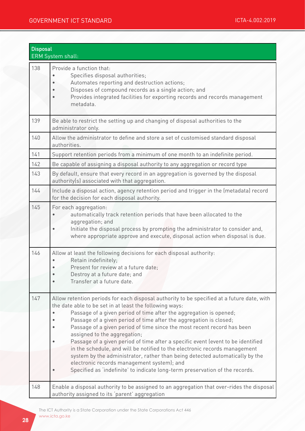|     | <b>Disposal</b><br>ERM System shall:                                                                                                                                                                                                                                                                                                                                                                                                                                                                                                                                                                                                                                                                                                                                                         |  |
|-----|----------------------------------------------------------------------------------------------------------------------------------------------------------------------------------------------------------------------------------------------------------------------------------------------------------------------------------------------------------------------------------------------------------------------------------------------------------------------------------------------------------------------------------------------------------------------------------------------------------------------------------------------------------------------------------------------------------------------------------------------------------------------------------------------|--|
| 138 | Provide a function that:<br>Specifies disposal authorities;<br>Automates reporting and destruction actions;<br>Disposes of compound records as a single action; and<br>Provides integrated facilities for exporting records and records management<br>metadata.                                                                                                                                                                                                                                                                                                                                                                                                                                                                                                                              |  |
| 139 | Be able to restrict the setting up and changing of disposal authorities to the<br>administrator only.                                                                                                                                                                                                                                                                                                                                                                                                                                                                                                                                                                                                                                                                                        |  |
| 140 | Allow the administrator to define and store a set of customised standard disposal<br>authorities.                                                                                                                                                                                                                                                                                                                                                                                                                                                                                                                                                                                                                                                                                            |  |
| 141 | Support retention periods from a minimum of one month to an indefinite period.                                                                                                                                                                                                                                                                                                                                                                                                                                                                                                                                                                                                                                                                                                               |  |
| 142 | Be capable of assigning a disposal authority to any aggregation or record type                                                                                                                                                                                                                                                                                                                                                                                                                                                                                                                                                                                                                                                                                                               |  |
| 143 | By default, ensure that every record in an aggregation is governed by the disposal<br>authority(s) associated with that aggregation.                                                                                                                                                                                                                                                                                                                                                                                                                                                                                                                                                                                                                                                         |  |
| 144 | Include a disposal action, agency retention period and trigger in the (metadata) record<br>for the decision for each disposal authority.                                                                                                                                                                                                                                                                                                                                                                                                                                                                                                                                                                                                                                                     |  |
| 145 | For each aggregation:<br>automatically track retention periods that have been allocated to the<br>aggregation; and<br>Initiate the disposal process by prompting the administrator to consider and,<br>where appropriate approve and execute, disposal action when disposal is due.                                                                                                                                                                                                                                                                                                                                                                                                                                                                                                          |  |
| 146 | Allow at least the following decisions for each disposal authority:<br>Retain indefinitely;<br>Present for review at a future date;<br>$\bullet$<br>Destroy at a future date; and<br>Transfer at a future date.                                                                                                                                                                                                                                                                                                                                                                                                                                                                                                                                                                              |  |
| 147 | Allow retention periods for each disposal authority to be specified at a future date, with<br>the date able to be set in at least the following ways:<br>Passage of a given period of time after the aggregation is opened;<br>Passage of a given period of time after the aggregation is closed;<br>Passage of a given period of time since the most recent record has been<br>assigned to the aggregation;<br>Passage of a given period of time after a specific event (event to be identified<br>in the schedule, and will be notified to the electronic records management<br>system by the administrator, rather than being detected automatically by the<br>electronic records management system); and<br>Specified as 'indefinite' to indicate long-term preservation of the records. |  |
| 148 | Enable a disposal authority to be assigned to an aggregation that over-rides the disposal<br>authority assigned to its 'parent' aggregation                                                                                                                                                                                                                                                                                                                                                                                                                                                                                                                                                                                                                                                  |  |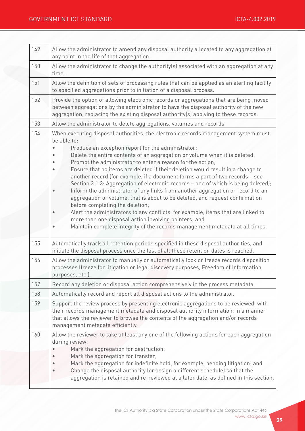| 149 | Allow the administrator to amend any disposal authority allocated to any aggregation at<br>any point in the life of that aggregation.                                                                                                                                                                                                                                                                                                                                                                                                                                                                                                                                                                                                                                                                                                                                                                                                                                                         |
|-----|-----------------------------------------------------------------------------------------------------------------------------------------------------------------------------------------------------------------------------------------------------------------------------------------------------------------------------------------------------------------------------------------------------------------------------------------------------------------------------------------------------------------------------------------------------------------------------------------------------------------------------------------------------------------------------------------------------------------------------------------------------------------------------------------------------------------------------------------------------------------------------------------------------------------------------------------------------------------------------------------------|
| 150 | Allow the administrator to change the authority(s) associated with an aggregation at any<br>time.                                                                                                                                                                                                                                                                                                                                                                                                                                                                                                                                                                                                                                                                                                                                                                                                                                                                                             |
| 151 | Allow the definition of sets of processing rules that can be applied as an alerting facility<br>to specified aggregations prior to initiation of a disposal process.                                                                                                                                                                                                                                                                                                                                                                                                                                                                                                                                                                                                                                                                                                                                                                                                                          |
| 152 | Provide the option of allowing electronic records or aggregations that are being moved<br>between aggregations by the administrator to have the disposal authority of the new<br>aggregation, replacing the existing disposal authority(s) applying to these records.                                                                                                                                                                                                                                                                                                                                                                                                                                                                                                                                                                                                                                                                                                                         |
| 153 | Allow the administrator to delete aggregations, volumes and records                                                                                                                                                                                                                                                                                                                                                                                                                                                                                                                                                                                                                                                                                                                                                                                                                                                                                                                           |
| 154 | When executing disposal authorities, the electronic records management system must<br>be able to:<br>Produce an exception report for the administrator;<br>Delete the entire contents of an aggregation or volume when it is deleted;<br>Prompt the administrator to enter a reason for the action;<br>Ensure that no items are deleted if their deletion would result in a change to<br>another record (for example, if a document forms a part of two records - see<br>Section 3.1.3: Aggregation of electronic records - one of which is being deleted);<br>Inform the administrator of any links from another aggregation or record to an<br>aggregation or volume, that is about to be deleted, and request confirmation<br>before completing the deletion;<br>Alert the administrators to any conflicts, for example, items that are linked to<br>more than one disposal action involving pointers; and<br>Maintain complete integrity of the records management metadata at all times. |
| 155 | Automatically track all retention periods specified in these disposal authorities, and<br>initiate the disposal process once the last of all these retention dates is reached.                                                                                                                                                                                                                                                                                                                                                                                                                                                                                                                                                                                                                                                                                                                                                                                                                |
| 156 | Allow the administrator to manually or automatically lock or freeze records disposition<br>processes (freeze for litigation or legal discovery purposes, Freedom of Information<br>purposes, etc.).                                                                                                                                                                                                                                                                                                                                                                                                                                                                                                                                                                                                                                                                                                                                                                                           |
| 157 | Record any deletion or disposal action comprehensively in the process metadata.                                                                                                                                                                                                                                                                                                                                                                                                                                                                                                                                                                                                                                                                                                                                                                                                                                                                                                               |
| 158 | Automatically record and report all disposal actions to the administrator.                                                                                                                                                                                                                                                                                                                                                                                                                                                                                                                                                                                                                                                                                                                                                                                                                                                                                                                    |
| 159 | Support the review process by presenting electronic aggregations to be reviewed, with<br>their records management metadata and disposal authority information, in a manner<br>that allows the reviewer to browse the contents of the aggregation and/or records<br>management metadata efficiently.                                                                                                                                                                                                                                                                                                                                                                                                                                                                                                                                                                                                                                                                                           |
| 160 | Allow the reviewer to take at least any one of the following actions for each aggregation<br>during review:<br>Mark the aggregation for destruction;<br>Mark the aggregation for transfer;<br>Mark the aggregation for indefinite hold, for example, pending litigation; and<br>Change the disposal authority (or assign a different schedule) so that the<br>aggregation is retained and re-reviewed at a later date, as defined in this section.                                                                                                                                                                                                                                                                                                                                                                                                                                                                                                                                            |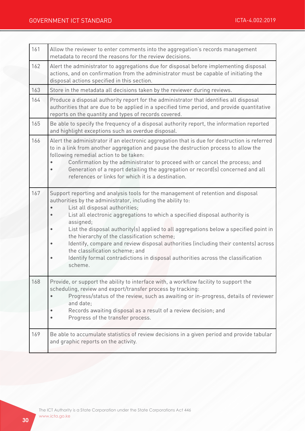| 161 | Allow the reviewer to enter comments into the aggregation's records management<br>metadata to record the reasons for the review decisions.                                                                                                                                                                                                                                                                                                                                                                                                                                                                                                     |
|-----|------------------------------------------------------------------------------------------------------------------------------------------------------------------------------------------------------------------------------------------------------------------------------------------------------------------------------------------------------------------------------------------------------------------------------------------------------------------------------------------------------------------------------------------------------------------------------------------------------------------------------------------------|
| 162 | Alert the administrator to aggregations due for disposal before implementing disposal<br>actions, and on confirmation from the administrator must be capable of initiating the<br>disposal actions specified in this section.                                                                                                                                                                                                                                                                                                                                                                                                                  |
| 163 | Store in the metadata all decisions taken by the reviewer during reviews.                                                                                                                                                                                                                                                                                                                                                                                                                                                                                                                                                                      |
| 164 | Produce a disposal authority report for the administrator that identifies all disposal<br>authorities that are due to be applied in a specified time period, and provide quantitative<br>reports on the quantity and types of records covered.                                                                                                                                                                                                                                                                                                                                                                                                 |
| 165 | Be able to specify the frequency of a disposal authority report, the information reported<br>and highlight exceptions such as overdue disposal.                                                                                                                                                                                                                                                                                                                                                                                                                                                                                                |
| 166 | Alert the administrator if an electronic aggregation that is due for destruction is referred<br>to in a link from another aggregation and pause the destruction process to allow the<br>following remedial action to be taken:<br>Confirmation by the administrator to proceed with or cancel the process; and<br>Generation of a report detailing the aggregation or record(s) concerned and all<br>references or links for which it is a destination.                                                                                                                                                                                        |
| 167 | Support reporting and analysis tools for the management of retention and disposal<br>authorities by the administrator, including the ability to:<br>List all disposal authorities;<br>List all electronic aggregations to which a specified disposal authority is<br>assigned;<br>List the disposal authority(s) applied to all aggregations below a specified point in<br>the hierarchy of the classification scheme;<br>Identify, compare and review disposal authorities (including their contents) across<br>the classification scheme; and<br>Identify formal contradictions in disposal authorities across the classification<br>scheme. |
| 168 | Provide, or support the ability to interface with, a workflow facility to support the<br>scheduling, review and export/transfer process by tracking:<br>Progress/status of the review, such as awaiting or in-progress, details of reviewer<br>and date;<br>Records awaiting disposal as a result of a review decision; and<br>Progress of the transfer process.                                                                                                                                                                                                                                                                               |
| 169 | Be able to accumulate statistics of review decisions in a given period and provide tabular<br>and graphic reports on the activity.                                                                                                                                                                                                                                                                                                                                                                                                                                                                                                             |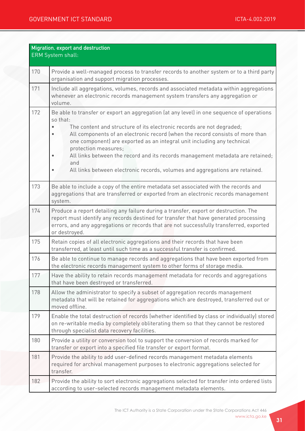| Migration, export and destruction<br>ERM System shall: |                                                                                                                                                                                                                                                                                                                                                                                                                                                                                                                                             |
|--------------------------------------------------------|---------------------------------------------------------------------------------------------------------------------------------------------------------------------------------------------------------------------------------------------------------------------------------------------------------------------------------------------------------------------------------------------------------------------------------------------------------------------------------------------------------------------------------------------|
| 170                                                    | Provide a well-managed process to transfer records to another system or to a third party<br>organisation and support migration processes.                                                                                                                                                                                                                                                                                                                                                                                                   |
| 171                                                    | Include all aggregations, volumes, records and associated metadata within aggregations<br>whenever an electronic records management system transfers any aggregation or<br>volume.                                                                                                                                                                                                                                                                                                                                                          |
| 172                                                    | Be able to transfer or export an aggregation (at any level) in one sequence of operations<br>so that:<br>The content and structure of its electronic records are not degraded;<br>All components of an electronic record (when the record consists of more than<br>one component) are exported as an integral unit including any technical<br>protection measures;<br>All links between the record and its records management metadata are retained;<br>and<br>All links between electronic records, volumes and aggregations are retained. |
| 173                                                    | Be able to include a copy of the entire metadata set associated with the records and<br>aggregations that are transferred or exported from an electronic records management<br>system.                                                                                                                                                                                                                                                                                                                                                      |
| 174                                                    | Produce a report detailing any failure during a transfer, export or destruction. The<br>report must identify any records destined for transfer that have generated processing<br>errors, and any aggregations or records that are not successfully transferred, exported<br>or destroyed.                                                                                                                                                                                                                                                   |
| 175                                                    | Retain copies of all electronic aggregations and their records that have been<br>transferred, at least until such time as a successful transfer is confirmed.                                                                                                                                                                                                                                                                                                                                                                               |
| 176                                                    | Be able to continue to manage records and aggregations that have been exported from<br>the electronic records management system to other forms of storage media.                                                                                                                                                                                                                                                                                                                                                                            |
| 177                                                    | Have the ability to retain records management metadata for records and aggregations<br>that have been destroyed or transferred.                                                                                                                                                                                                                                                                                                                                                                                                             |
| 178                                                    | Allow the administrator to specify a subset of aggregation records management<br>metadata that will be retained for aggregations which are destroyed, transferred out or<br>moved offline.                                                                                                                                                                                                                                                                                                                                                  |
| 179                                                    | Enable the total destruction of records (whether identified by class or individually) stored<br>on re-writable media by completely obliterating them so that they cannot be restored<br>through specialist data recovery facilities.                                                                                                                                                                                                                                                                                                        |
| 180                                                    | Provide a utility or conversion tool to support the conversion of records marked for<br>transfer or export into a specified file transfer or export format.                                                                                                                                                                                                                                                                                                                                                                                 |
| 181                                                    | Provide the ability to add user-defined records management metadata elements<br>required for archival management purposes to electronic aggregations selected for<br>transfer.                                                                                                                                                                                                                                                                                                                                                              |
| 182                                                    | Provide the ability to sort electronic aggregations selected for transfer into ordered lists<br>according to user-selected records management metadata elements.                                                                                                                                                                                                                                                                                                                                                                            |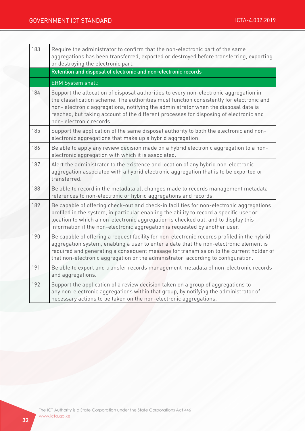| 183 | Require the administrator to confirm that the non-electronic part of the same<br>aggregations has been transferred, exported or destroyed before transferring, exporting<br>or destroying the electronic part.                                                                                                                                                                               |
|-----|----------------------------------------------------------------------------------------------------------------------------------------------------------------------------------------------------------------------------------------------------------------------------------------------------------------------------------------------------------------------------------------------|
|     | Retention and disposal of electronic and non-electronic records                                                                                                                                                                                                                                                                                                                              |
|     | ERM System shall:                                                                                                                                                                                                                                                                                                                                                                            |
| 184 | Support the allocation of disposal authorities to every non-electronic aggregation in<br>the classification scheme. The authorities must function consistently for electronic and<br>non-electronic aggregations, notifying the administrator when the disposal date is<br>reached, but taking account of the different processes for disposing of electronic and<br>non-electronic records. |
| 185 | Support the application of the same disposal authority to both the electronic and non-<br>electronic aggregations that make up a hybrid aggregation.                                                                                                                                                                                                                                         |
| 186 | Be able to apply any review decision made on a hybrid electronic aggregation to a non-<br>electronic aggregation with which it is associated.                                                                                                                                                                                                                                                |
| 187 | Alert the administrator to the existence and location of any hybrid non-electronic<br>aggregation associated with a hybrid electronic aggregation that is to be exported or<br>transferred.                                                                                                                                                                                                  |
| 188 | Be able to record in the metadata all changes made to records management metadata<br>references to non-electronic or hybrid aggregations and records.                                                                                                                                                                                                                                        |
| 189 | Be capable of offering check-out and check-in facilities for non-electronic aggregations<br>profiled in the system, in particular enabling the ability to record a specific user or<br>location to which a non-electronic aggregation is checked out, and to display this<br>information if the non-electronic aggregation is requested by another user.                                     |
| 190 | Be capable of offering a request facility for non-electronic records profiled in the hybrid<br>aggregation system, enabling a user to enter a date that the non-electronic element is<br>required and generating a consequent message for transmission to the current holder of<br>that non-electronic aggregation or the administrator, according to configuration.                         |
| 191 | Be able to export and transfer records management metadata of non-electronic records<br>and aggregations.                                                                                                                                                                                                                                                                                    |
| 192 | Support the application of a review decision taken on a group of aggregations to<br>any non-electronic aggregations within that group, by notifying the administrator of<br>necessary actions to be taken on the non-electronic aggregations.                                                                                                                                                |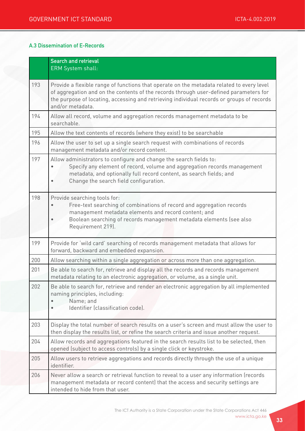#### A.3 Dissemination of E-Records

|     | <b>Search and retrieval</b><br><b>ERM System shall:</b>                                                                                                                                                                                                                                             |
|-----|-----------------------------------------------------------------------------------------------------------------------------------------------------------------------------------------------------------------------------------------------------------------------------------------------------|
| 193 | Provide a flexible range of functions that operate on the metadata related to every level<br>of aggregation and on the contents of the records through user-defined parameters for<br>the purpose of locating, accessing and retrieving individual records or groups of records<br>and/or metadata. |
| 194 | Allow all record, volume and aggregation records management metadata to be<br>searchable.                                                                                                                                                                                                           |
| 195 | Allow the text contents of records (where they exist) to be searchable                                                                                                                                                                                                                              |
| 196 | Allow the user to set up a single search request with combinations of records<br>management metadata and/or record content.                                                                                                                                                                         |
| 197 | Allow administrators to configure and change the search fields to:<br>Specify any element of record, volume and aggregation records management<br>metadata, and optionally full record content, as search fields; and<br>Change the search field configuration.                                     |
| 198 | Provide searching tools for:<br>Free-text searching of combinations of record and aggregation records<br>management metadata elements and record content; and<br>Boolean searching of records management metadata elements (see also<br>Requirement 219).                                           |
| 199 | Provide for 'wild card' searching of records management metadata that allows for<br>forward, backward and embedded expansion.                                                                                                                                                                       |
| 200 | Allow searching within a single aggregation or across more than one aggregation.                                                                                                                                                                                                                    |
| 201 | Be able to search for, retrieve and display all the records and records management<br>metadata relating to an electronic aggregation, or volume, as a single unit.                                                                                                                                  |
| 202 | Be able to search for, retrieve and render an electronic aggregation by all implemented<br>naming principles, including:<br>Name; and<br>Identifier (classification code).                                                                                                                          |
| 203 | Display the total number of search results on a user's screen and must allow the user to<br>then display the results list, or refine the search criteria and issue another request.                                                                                                                 |
| 204 | Allow records and aggregations featured in the search results list to be selected, then<br>opened (subject to access controls) by a single click or keystroke.                                                                                                                                      |
| 205 | Allow users to retrieve aggregations and records directly through the use of a unique<br>identifier.                                                                                                                                                                                                |
| 206 | Never allow a search or retrieval function to reveal to a user any information (records<br>management metadata or record content) that the access and security settings are<br>intended to hide from that user.                                                                                     |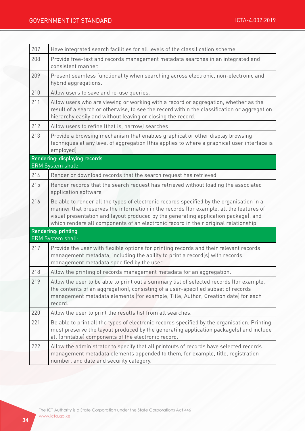| 207 | Have integrated search facilities for all levels of the classification scheme                                                                                                                                                                                                                                                                                    |
|-----|------------------------------------------------------------------------------------------------------------------------------------------------------------------------------------------------------------------------------------------------------------------------------------------------------------------------------------------------------------------|
| 208 | Provide free-text and records management metadata searches in an integrated and<br>consistent manner.                                                                                                                                                                                                                                                            |
| 209 | Present seamless functionality when searching across electronic, non-electronic and<br>hybrid aggregations.                                                                                                                                                                                                                                                      |
| 210 | Allow users to save and re-use queries.                                                                                                                                                                                                                                                                                                                          |
| 211 | Allow users who are viewing or working with a record or aggregation, whether as the<br>result of a search or otherwise, to see the record within the classification or aggregation<br>hierarchy easily and without leaving or closing the record.                                                                                                                |
| 212 | Allow users to refine (that is, narrow) searches                                                                                                                                                                                                                                                                                                                 |
| 213 | Provide a browsing mechanism that enables graphical or other display browsing<br>techniques at any level of aggregation (this applies to where a graphical user interface is<br>employed)                                                                                                                                                                        |
|     | Rendering: displaying records<br>ERM System shall:                                                                                                                                                                                                                                                                                                               |
| 214 | Render or download records that the search request has retrieved                                                                                                                                                                                                                                                                                                 |
| 215 | Render records that the search request has retrieved without loading the associated<br>application software                                                                                                                                                                                                                                                      |
| 216 | Be able to render all the types of electronic records specified by the organisation in a<br>manner that preserves the information in the records (for example, all the features of<br>visual presentation and layout produced by the generating application package), and<br>which renders all components of an electronic record in their original relationship |
|     | Rendering: printing<br><b>ERM System shall:</b>                                                                                                                                                                                                                                                                                                                  |
| 217 | Provide the user with flexible options for printing records and their relevant records<br>management metadata, including the ability to print a record(s) with records<br>management metadata specified by the user.                                                                                                                                             |
| 218 | Allow the printing of records management metadata for an aggregation.                                                                                                                                                                                                                                                                                            |
| 219 | Allow the user to be able to print out a summary list of selected records (for example,<br>the contents of an aggregation), consisting of a user-specified subset of records<br>management metadata elements (for example, Title, Author, Creation date) for each<br>record.                                                                                     |
| 220 | Allow the user to print the results list from all searches.                                                                                                                                                                                                                                                                                                      |
| 221 | Be able to print all the types of electronic records specified by the organisation. Printing<br>must preserve the layout produced by the generating application package(s) and include<br>all (printable) components of the electronic record.                                                                                                                   |
| 222 | Allow the administrator to specify that all printouts of records have selected records<br>management metadata elements appended to them, for example, title, registration<br>number, and date and security category.                                                                                                                                             |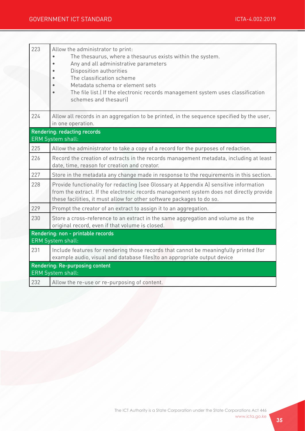| 223 | Allow the administrator to print:<br>The thesaurus, where a thesaurus exists within the system.<br>Any and all administrative parameters<br>Disposition authorities<br>The classification scheme<br>Metadata schema or element sets<br>The file list. (If the electronic records management system uses classification<br>schemes and thesauril |  |  |  |
|-----|-------------------------------------------------------------------------------------------------------------------------------------------------------------------------------------------------------------------------------------------------------------------------------------------------------------------------------------------------|--|--|--|
| 224 | Allow all records in an aggregation to be printed, in the sequence specified by the user,<br>in one operation.                                                                                                                                                                                                                                  |  |  |  |
|     | <b>Rendering: redacting records</b>                                                                                                                                                                                                                                                                                                             |  |  |  |
|     | <b>ERM System shall:</b>                                                                                                                                                                                                                                                                                                                        |  |  |  |
| 225 | Allow the administrator to take a copy of a record for the purposes of redaction.                                                                                                                                                                                                                                                               |  |  |  |
| 226 | Record the creation of extracts in the records management metadata, including at least<br>date, time, reason for creation and creator.                                                                                                                                                                                                          |  |  |  |
| 227 | Store in the metadata any change made in response to the requirements in this section.                                                                                                                                                                                                                                                          |  |  |  |
| 228 | Provide functionality for redacting (see Glossary at Appendix A) sensitive information<br>from the extract. If the electronic records management system does not directly provide<br>these facilities, it must allow for other software packages to do so.                                                                                      |  |  |  |
| 229 | Prompt the creator of an extract to assign it to an aggregation.                                                                                                                                                                                                                                                                                |  |  |  |
| 230 | Store a cross-reference to an extract in the same aggregation and volume as the<br>original record, even if that volume is closed.                                                                                                                                                                                                              |  |  |  |
|     | Rendering: non - printable records<br><b>ERM System shall:</b>                                                                                                                                                                                                                                                                                  |  |  |  |
| 231 | Include features for rendering those records that cannot be meaningfully printed (for<br>example audio, visual and database files) to an appropriate output device                                                                                                                                                                              |  |  |  |
|     | Rendering: Re-purposing content<br><b>ERM</b> System shall:                                                                                                                                                                                                                                                                                     |  |  |  |
| 232 | Allow the re-use or re-purposing of content.                                                                                                                                                                                                                                                                                                    |  |  |  |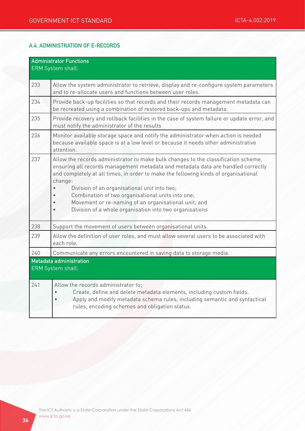#### A.4. ADMINISTRATION OF E-RECORDS

| <b>Administrator Functions</b><br><b>ERM System shall:</b> |                                                                                                                                                                                                                                                                                                                                                                                                                                                                                                  |  |  |  |
|------------------------------------------------------------|--------------------------------------------------------------------------------------------------------------------------------------------------------------------------------------------------------------------------------------------------------------------------------------------------------------------------------------------------------------------------------------------------------------------------------------------------------------------------------------------------|--|--|--|
| 233                                                        | Allow the system administrator to retrieve, display and re-configure system parameters<br>and to re-allocate users and functions between user roles.                                                                                                                                                                                                                                                                                                                                             |  |  |  |
| 234                                                        | Provide back-up facilities so that records and their records management metadata can<br>be recreated using a combination of restored back-ups and metadata.                                                                                                                                                                                                                                                                                                                                      |  |  |  |
| 235                                                        | Provide recovery and rollback facilities in the case of system failure or update error, and<br>must notify the administrator of the results                                                                                                                                                                                                                                                                                                                                                      |  |  |  |
| 236                                                        | Monitor available storage space and notify the administrator when action is needed<br>because available space is at a low level or because it needs other administrative<br>attention.                                                                                                                                                                                                                                                                                                           |  |  |  |
| 237                                                        | Allow the records administrator to make bulk changes to the classification scheme,<br>ensuring all records management metadata and metadata data are handled correctly<br>and completely at all times, in order to make the following kinds of organisational<br>change:<br>Division of an organisational unit into two;<br>Combination of two organisational units into one;<br>Movement or re-naming of an organisational unit; and<br>Division of a whole organisation into two organisations |  |  |  |
| 238                                                        | Support the movement of users between organisational units.                                                                                                                                                                                                                                                                                                                                                                                                                                      |  |  |  |
| 239                                                        | Allow the definition of user roles, and must allow several users to be associated with<br>each role.                                                                                                                                                                                                                                                                                                                                                                                             |  |  |  |
| 240                                                        | Communicate any errors encountered in saving data to storage media.                                                                                                                                                                                                                                                                                                                                                                                                                              |  |  |  |
| Metadata administration<br><b>ERM System shall:</b>        |                                                                                                                                                                                                                                                                                                                                                                                                                                                                                                  |  |  |  |
| 241                                                        | Allow the records administrator to;<br>Create, define and delete metadata elements, including custom fields.<br>Apply and modify metadata schema rules, including semantic and syntactical<br>rules, encoding schemes and obligation status.                                                                                                                                                                                                                                                     |  |  |  |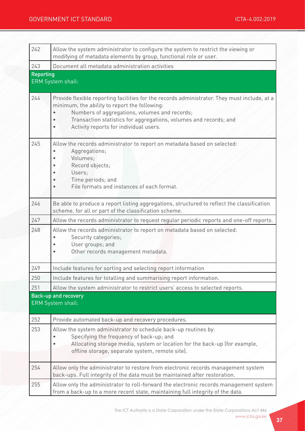| 242              | Allow the system administrator to configure the system to restrict the viewing or<br>modifying of metadata elements by group, functional role or user.                                                                                                                                                        |  |  |  |  |
|------------------|---------------------------------------------------------------------------------------------------------------------------------------------------------------------------------------------------------------------------------------------------------------------------------------------------------------|--|--|--|--|
| 243              | Document all metadata administration activities                                                                                                                                                                                                                                                               |  |  |  |  |
| <b>Reporting</b> | ERM System shall:                                                                                                                                                                                                                                                                                             |  |  |  |  |
| 244              | Provide flexible reporting facilities for the records administrator. They must include, at a<br>minimum, the ability to report the following:<br>Numbers of aggregations, volumes and records;<br>Transaction statistics for aggregations, volumes and records; and<br>Activity reports for individual users. |  |  |  |  |
| 245              | Allow the records administrator to report on metadata based on selected:<br>Aggregations;<br>Volumes;<br>Record objects;<br>Users;<br>Time periods; and<br>File formats and instances of each format.                                                                                                         |  |  |  |  |
| 246              | Be able to produce a report listing aggregations, structured to reflect the classification<br>scheme, for all or part of the classification scheme.                                                                                                                                                           |  |  |  |  |
| 247              | Allow the records administrator to request regular periodic reports and one-off reports.                                                                                                                                                                                                                      |  |  |  |  |
| 248              | Allow the records administrator to report on metadata based on selected:<br>Security categories;<br>User groups; and<br>Other records management metadata.                                                                                                                                                    |  |  |  |  |
| 249              | Include features for sorting and selecting report information                                                                                                                                                                                                                                                 |  |  |  |  |
| 250              | Include features for totalling and summarising report information.                                                                                                                                                                                                                                            |  |  |  |  |
| 251              | Allow the system administrator to restrict users' access to selected reports.                                                                                                                                                                                                                                 |  |  |  |  |
|                  | <b>Back-up and recovery</b><br>ERM System shall:                                                                                                                                                                                                                                                              |  |  |  |  |
| 252              | Provide automated back-up and recovery procedures.                                                                                                                                                                                                                                                            |  |  |  |  |
| 253              | Allow the system administrator to schedule back-up routines by:<br>Specifying the frequency of back-up; and<br>Allocating storage media, system or location for the back-up (for example,<br>offline storage, separate system, remote site).                                                                  |  |  |  |  |
| 254              | Allow only the administrator to restore from electronic records management system<br>back-ups. Full integrity of the data must be maintained after restoration.                                                                                                                                               |  |  |  |  |
| 255              | Allow only the administrator to roll-forward the electronic records management system<br>from a back-up to a more recent state, maintaining full integrity of the data.                                                                                                                                       |  |  |  |  |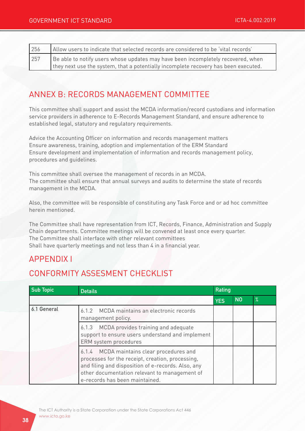| 256 | Allow users to indicate that selected records are considered to be 'vital records'  |  |  |  |
|-----|-------------------------------------------------------------------------------------|--|--|--|
| 257 | Be able to notify users whose updates may have been incompletely recovered, when    |  |  |  |
|     | they next use the system, that a potentially incomplete recovery has been executed. |  |  |  |

## ANNEX B: RECORDS MANAGEMENT COMMITTEE

This committee shall support and assist the MCDA information/record custodians and information service providers in adherence to E-Records Management Standard, and ensure adherence to established legal, statutory and regulatory requirements.

Advice the Accounting Officer on information and records management matters Ensure awareness, training, adoption and implementation of the ERM Standard Ensure development and implementation of information and records management policy, procedures and guidelines.

This committee shall oversee the management of records in an MCDA. The committee shall ensure that annual surveys and audits to determine the state of records management in the MCDA.

Also, the committee will be responsible of constituting any Task Force and or ad hoc committee herein mentioned.

The Committee shall have representation from ICT, Records, Finance, Administration and Supply Chain departments. Committee meetings will be convened at least once every quarter. The Committee shall interface with other relevant committees Shall have quarterly meetings and not less than 4 in a financial year.

## APPENDIX I

## CONFORMITY ASSESMENT CHECKLIST

| <b>Sub Topic</b> | <b>Details</b>                                                                                                                                                                                                                         | Rating     |           |               |
|------------------|----------------------------------------------------------------------------------------------------------------------------------------------------------------------------------------------------------------------------------------|------------|-----------|---------------|
|                  |                                                                                                                                                                                                                                        | <b>YES</b> | <b>NO</b> | $\frac{9}{6}$ |
| 6.1 General      | 6.1.2 MCDA maintains an electronic records<br>management policy.                                                                                                                                                                       |            |           |               |
|                  | MCDA provides training and adequate<br>6.1.3<br>support to ensure users understand and implement<br>ERM system procedures                                                                                                              |            |           |               |
|                  | 6.1.4 MCDA maintains clear procedures and<br>processes for the receipt, creation, processing,<br>and filing and disposition of e-records. Also, any<br>other documentation relevant to management of<br>e-records has been maintained. |            |           |               |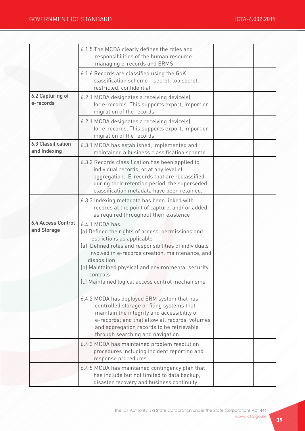|                                           | 6.1.5 The MCDA clearly defines the roles and<br>responsibilities of the human resource<br>managing e-records and ERMS.                                                                                                                                                                                                                               |  |  |
|-------------------------------------------|------------------------------------------------------------------------------------------------------------------------------------------------------------------------------------------------------------------------------------------------------------------------------------------------------------------------------------------------------|--|--|
|                                           | 6.1.6 Records are classified using the GoK<br>classification scheme - secret, top secret,<br>restricted, confidential                                                                                                                                                                                                                                |  |  |
| 6.2 Capturing of<br>e-records             | 6.2.1 MCDA designates a receiving device(s)<br>for e-records. This supports export, import or<br>migration of the records.                                                                                                                                                                                                                           |  |  |
|                                           | 6.2.1 MCDA designates a receiving device(s)<br>for e-records. This supports export, import or<br>migration of the records.                                                                                                                                                                                                                           |  |  |
| <b>6.3 Classification</b><br>and Indexing | 6.3.1 MCDA has established, implemented and<br>maintained a business classification scheme                                                                                                                                                                                                                                                           |  |  |
|                                           | 6.3.2 Records classification has been applied to<br>individual records, or at any level of<br>aggregation. E-records that are reclassified<br>during their retention period, the superseded<br>classification metadata have been retained.                                                                                                           |  |  |
|                                           | 6.3.3 Indexing metadata has been linked with<br>records at the point of capture, and/or added<br>as required throughout their existence                                                                                                                                                                                                              |  |  |
| <b>6.4 Access Control</b><br>and Storage  | 6.4.1 MCDA has:<br>(a) Defined the rights of access, permissions and<br>restrictions as applicable<br>(a) Defined roles and responsibilities of individuals<br>involved in e-records creation, maintenance, and<br>disposition<br>(b) Maintained physical and environmental security<br>controls<br>(c) Maintained logical access control mechanisms |  |  |
|                                           | 6.4.2 MCDA has deployed ERM system that has<br>controlled storage or filing systems that<br>maintain the integrity and accessibility of<br>e-records; and that allow all records, volumes<br>and aggregation records to be retrievable<br>through searching and navigation.                                                                          |  |  |
|                                           | 6.4.3 MCDA has maintained problem resolution<br>procedures including incident reporting and<br>response procedures                                                                                                                                                                                                                                   |  |  |
|                                           | 6.4.5 MCDA has maintained contingency plan that<br>has include but not limited to data backup,<br>disaster recovery and business continuity                                                                                                                                                                                                          |  |  |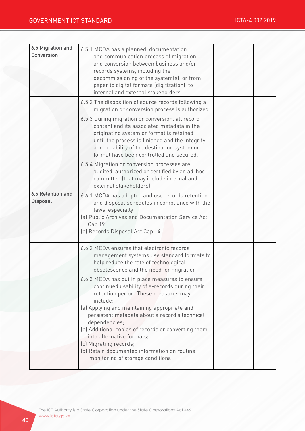| 6.5 Migration and<br><b>Conversion</b>      | 6.5.1 MCDA has a planned, documentation<br>and communication process of migration<br>and conversion between business and/or<br>records systems, including the<br>decommissioning of the system(s), or from<br>paper to digital formats (digitization), to<br>internal and external stakeholders.                                                                                                                                                                         |  |  |
|---------------------------------------------|--------------------------------------------------------------------------------------------------------------------------------------------------------------------------------------------------------------------------------------------------------------------------------------------------------------------------------------------------------------------------------------------------------------------------------------------------------------------------|--|--|
|                                             | 6.5.2 The disposition of source records following a<br>migration or conversion process is authorized.                                                                                                                                                                                                                                                                                                                                                                    |  |  |
|                                             | 6.5.3 During migration or conversion, all record<br>content and its associated metadata in the<br>originating system or format is retained<br>until the process is finished and the integrity<br>and reliability of the destination system or<br>format have been controlled and secured.                                                                                                                                                                                |  |  |
|                                             | 6.5.4 Migration or conversion processes are<br>audited, authorized or certified by an ad-hoc<br>committee (that may include internal and<br>external stakeholders).                                                                                                                                                                                                                                                                                                      |  |  |
| <b>6.6 Retention and</b><br><b>Disposal</b> | 6.6.1 MCDA has adopted and use records retention<br>and disposal schedules in compliance with the<br>laws especially;<br>(a) Public Archives and Documentation Service Act<br>Cap 19<br>(b) Records Disposal Act Cap 14                                                                                                                                                                                                                                                  |  |  |
|                                             | 6.6.2 MCDA ensures that electronic records<br>management systems use standard formats to<br>help reduce the rate of technological<br>obsolescence and the need for migration                                                                                                                                                                                                                                                                                             |  |  |
|                                             | 6.6.3 MCDA has put in place measures to ensure<br>continued usability of e-records during their<br>retention period. These measures may<br>include:<br>(a) Applying and maintaining appropriate and<br>persistent metadata about a record's technical<br>dependencies;<br>(b) Additional copies of records or converting them<br>into alternative formats;<br>(c) Migrating records;<br>(d) Retain documented information on routine<br>monitoring of storage conditions |  |  |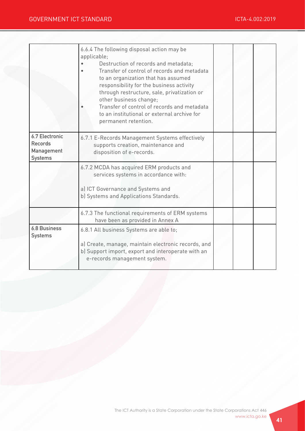|                                                                         | 6.6.4 The following disposal action may be<br>applicable;<br>Destruction of records and metadata;<br>Transfer of control of records and metadata<br>to an organization that has assumed<br>responsibility for the business activity<br>through restructure, sale, privatization or<br>other business change;<br>Transfer of control of records and metadata<br>to an institutional or external archive for<br>permanent retention. |  |  |
|-------------------------------------------------------------------------|------------------------------------------------------------------------------------------------------------------------------------------------------------------------------------------------------------------------------------------------------------------------------------------------------------------------------------------------------------------------------------------------------------------------------------|--|--|
| <b>6.7 Electronic</b><br><b>Records</b><br>Management<br><b>Systems</b> | 6.7.1 E-Records Management Systems effectively<br>supports creation, maintenance and<br>disposition of e-records.                                                                                                                                                                                                                                                                                                                  |  |  |
|                                                                         | 6.7.2 MCDA has acquired ERM products and<br>services systems in accordance with:<br>a) ICT Governance and Systems and<br>b) Systems and Applications Standards.                                                                                                                                                                                                                                                                    |  |  |
|                                                                         | 6.7.3 The functional requirements of ERM systems<br>have been as provided in Annex A                                                                                                                                                                                                                                                                                                                                               |  |  |
| <b>6.8 Business</b><br><b>Systems</b>                                   | 6.8.1 All business Systems are able to;<br>a) Create, manage, maintain electronic records, and<br>b) Support import, export and interoperate with an<br>e-records management system.                                                                                                                                                                                                                                               |  |  |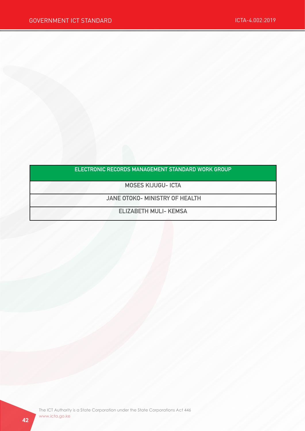#### ELECTRONIC RECORDS MANAGEMENT STANDARD WORK GROUP

MOSES KIJUGU- ICTA

JANE OTOKO- MINISTRY OF HEALTH

ELIZABETH MULI- KEMSA

The ICT Authority is a State Corporation under the State Corporations Act 446 www.icta.go.ke www.icta.go.ke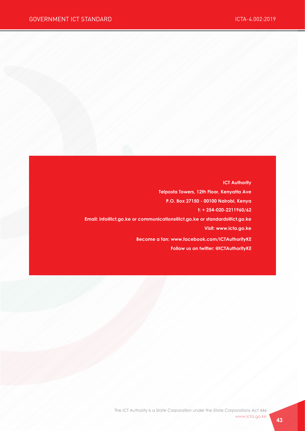**ICT Authority Telposta Towers, 12th Floor, Kenyatta Ave P.O. Box 27150 - 00100 Nairobi, Kenya t: + 254-020-2211960/62 Email: info@ict.go.ke or communications@ict.go.ke or standards@ict.go.ke Visit: www.icta.go.ke Become a fan: www.facebook.com/ICTAuthorityKE Follow us on twitter: @ICTAuthorityKE**